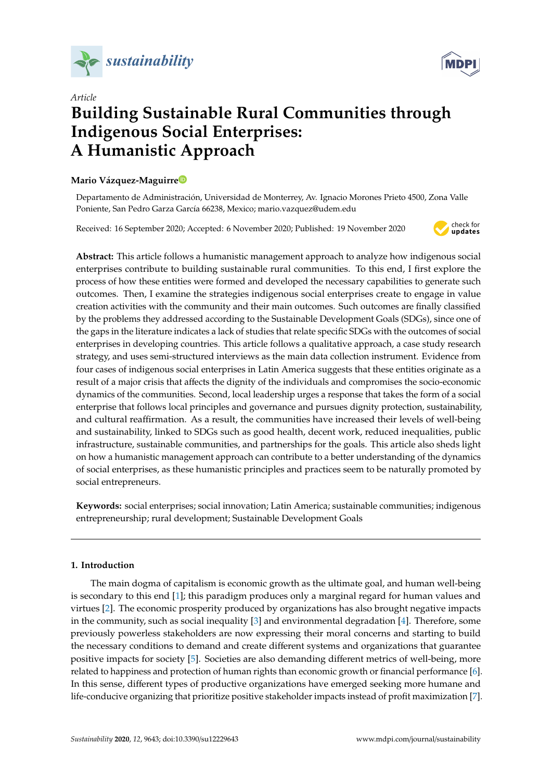



# *Article* **Building Sustainable Rural Communities through Indigenous Social Enterprises: A Humanistic Approach**

# **Mario Vázquez-Maguirr[e](https://orcid.org/0000-0002-5268-9933)**

Departamento de Administración, Universidad de Monterrey, Av. Ignacio Morones Prieto 4500, Zona Valle Poniente, San Pedro Garza García 66238, Mexico; mario.vazquez@udem.edu

Received: 16 September 2020; Accepted: 6 November 2020; Published: 19 November 2020



**Abstract:** This article follows a humanistic management approach to analyze how indigenous social enterprises contribute to building sustainable rural communities. To this end, I first explore the process of how these entities were formed and developed the necessary capabilities to generate such outcomes. Then, I examine the strategies indigenous social enterprises create to engage in value creation activities with the community and their main outcomes. Such outcomes are finally classified by the problems they addressed according to the Sustainable Development Goals (SDGs), since one of the gaps in the literature indicates a lack of studies that relate specific SDGs with the outcomes of social enterprises in developing countries. This article follows a qualitative approach, a case study research strategy, and uses semi-structured interviews as the main data collection instrument. Evidence from four cases of indigenous social enterprises in Latin America suggests that these entities originate as a result of a major crisis that affects the dignity of the individuals and compromises the socio-economic dynamics of the communities. Second, local leadership urges a response that takes the form of a social enterprise that follows local principles and governance and pursues dignity protection, sustainability, and cultural reaffirmation. As a result, the communities have increased their levels of well-being and sustainability, linked to SDGs such as good health, decent work, reduced inequalities, public infrastructure, sustainable communities, and partnerships for the goals. This article also sheds light on how a humanistic management approach can contribute to a better understanding of the dynamics of social enterprises, as these humanistic principles and practices seem to be naturally promoted by social entrepreneurs.

**Keywords:** social enterprises; social innovation; Latin America; sustainable communities; indigenous entrepreneurship; rural development; Sustainable Development Goals

# **1. Introduction**

The main dogma of capitalism is economic growth as the ultimate goal, and human well-being is secondary to this end [\[1\]](#page-16-0); this paradigm produces only a marginal regard for human values and virtues [\[2\]](#page-16-1). The economic prosperity produced by organizations has also brought negative impacts in the community, such as social inequality  $[3]$  and environmental degradation  $[4]$ . Therefore, some previously powerless stakeholders are now expressing their moral concerns and starting to build the necessary conditions to demand and create different systems and organizations that guarantee positive impacts for society [\[5\]](#page-16-4). Societies are also demanding different metrics of well-being, more related to happiness and protection of human rights than economic growth or financial performance [\[6\]](#page-16-5). In this sense, different types of productive organizations have emerged seeking more humane and life-conducive organizing that prioritize positive stakeholder impacts instead of profit maximization [\[7\]](#page-16-6).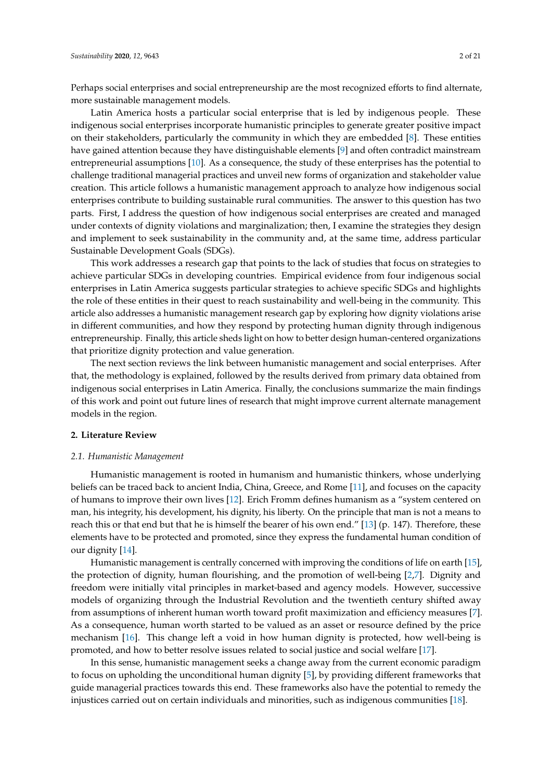Perhaps social enterprises and social entrepreneurship are the most recognized efforts to find alternate, more sustainable management models.

Latin America hosts a particular social enterprise that is led by indigenous people. These indigenous social enterprises incorporate humanistic principles to generate greater positive impact on their stakeholders, particularly the community in which they are embedded [\[8\]](#page-16-7). These entities have gained attention because they have distinguishable elements [\[9\]](#page-16-8) and often contradict mainstream entrepreneurial assumptions [\[10\]](#page-16-9). As a consequence, the study of these enterprises has the potential to challenge traditional managerial practices and unveil new forms of organization and stakeholder value creation. This article follows a humanistic management approach to analyze how indigenous social enterprises contribute to building sustainable rural communities. The answer to this question has two parts. First, I address the question of how indigenous social enterprises are created and managed under contexts of dignity violations and marginalization; then, I examine the strategies they design and implement to seek sustainability in the community and, at the same time, address particular Sustainable Development Goals (SDGs).

This work addresses a research gap that points to the lack of studies that focus on strategies to achieve particular SDGs in developing countries. Empirical evidence from four indigenous social enterprises in Latin America suggests particular strategies to achieve specific SDGs and highlights the role of these entities in their quest to reach sustainability and well-being in the community. This article also addresses a humanistic management research gap by exploring how dignity violations arise in different communities, and how they respond by protecting human dignity through indigenous entrepreneurship. Finally, this article sheds light on how to better design human-centered organizations that prioritize dignity protection and value generation.

The next section reviews the link between humanistic management and social enterprises. After that, the methodology is explained, followed by the results derived from primary data obtained from indigenous social enterprises in Latin America. Finally, the conclusions summarize the main findings of this work and point out future lines of research that might improve current alternate management models in the region.

## **2. Literature Review**

#### *2.1. Humanistic Management*

Humanistic management is rooted in humanism and humanistic thinkers, whose underlying beliefs can be traced back to ancient India, China, Greece, and Rome [\[11\]](#page-16-10), and focuses on the capacity of humans to improve their own lives [\[12\]](#page-16-11). Erich Fromm defines humanism as a "system centered on man, his integrity, his development, his dignity, his liberty. On the principle that man is not a means to reach this or that end but that he is himself the bearer of his own end." [\[13\]](#page-16-12) (p. 147). Therefore, these elements have to be protected and promoted, since they express the fundamental human condition of our dignity [\[14\]](#page-16-13).

Humanistic management is centrally concerned with improving the conditions of life on earth [\[15\]](#page-16-14), the protection of dignity, human flourishing, and the promotion of well-being [\[2,](#page-16-1)[7\]](#page-16-6). Dignity and freedom were initially vital principles in market-based and agency models. However, successive models of organizing through the Industrial Revolution and the twentieth century shifted away from assumptions of inherent human worth toward profit maximization and efficiency measures [\[7\]](#page-16-6). As a consequence, human worth started to be valued as an asset or resource defined by the price mechanism [\[16\]](#page-16-15). This change left a void in how human dignity is protected, how well-being is promoted, and how to better resolve issues related to social justice and social welfare [\[17\]](#page-16-16).

In this sense, humanistic management seeks a change away from the current economic paradigm to focus on upholding the unconditional human dignity [\[5\]](#page-16-4), by providing different frameworks that guide managerial practices towards this end. These frameworks also have the potential to remedy the injustices carried out on certain individuals and minorities, such as indigenous communities [\[18\]](#page-16-17).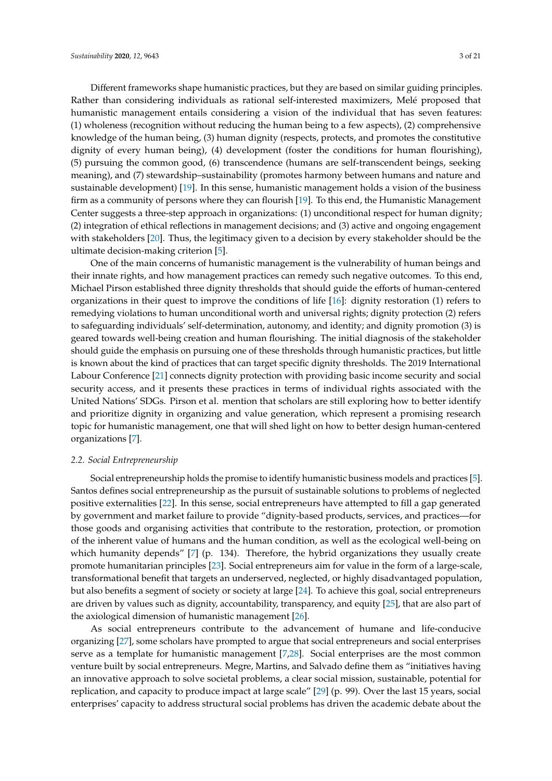Different frameworks shape humanistic practices, but they are based on similar guiding principles. Rather than considering individuals as rational self-interested maximizers, Melé proposed that humanistic management entails considering a vision of the individual that has seven features: (1) wholeness (recognition without reducing the human being to a few aspects), (2) comprehensive knowledge of the human being, (3) human dignity (respects, protects, and promotes the constitutive dignity of every human being), (4) development (foster the conditions for human flourishing), (5) pursuing the common good, (6) transcendence (humans are self-transcendent beings, seeking meaning), and (7) stewardship–sustainability (promotes harmony between humans and nature and sustainable development) [\[19\]](#page-16-18). In this sense, humanistic management holds a vision of the business firm as a community of persons where they can flourish [\[19\]](#page-16-18). To this end, the Humanistic Management Center suggests a three-step approach in organizations: (1) unconditional respect for human dignity; (2) integration of ethical reflections in management decisions; and (3) active and ongoing engagement with stakeholders [\[20\]](#page-17-0). Thus, the legitimacy given to a decision by every stakeholder should be the ultimate decision-making criterion [\[5\]](#page-16-4).

One of the main concerns of humanistic management is the vulnerability of human beings and their innate rights, and how management practices can remedy such negative outcomes. To this end, Michael Pirson established three dignity thresholds that should guide the efforts of human-centered organizations in their quest to improve the conditions of life [\[16\]](#page-16-15): dignity restoration (1) refers to remedying violations to human unconditional worth and universal rights; dignity protection (2) refers to safeguarding individuals' self-determination, autonomy, and identity; and dignity promotion (3) is geared towards well-being creation and human flourishing. The initial diagnosis of the stakeholder should guide the emphasis on pursuing one of these thresholds through humanistic practices, but little is known about the kind of practices that can target specific dignity thresholds. The 2019 International Labour Conference [\[21\]](#page-17-1) connects dignity protection with providing basic income security and social security access, and it presents these practices in terms of individual rights associated with the United Nations' SDGs. Pirson et al. mention that scholars are still exploring how to better identify and prioritize dignity in organizing and value generation, which represent a promising research topic for humanistic management, one that will shed light on how to better design human-centered organizations [\[7\]](#page-16-6).

## *2.2. Social Entrepreneurship*

Social entrepreneurship holds the promise to identify humanistic business models and practices [\[5\]](#page-16-4). Santos defines social entrepreneurship as the pursuit of sustainable solutions to problems of neglected positive externalities [\[22\]](#page-17-2). In this sense, social entrepreneurs have attempted to fill a gap generated by government and market failure to provide "dignity-based products, services, and practices—for those goods and organising activities that contribute to the restoration, protection, or promotion of the inherent value of humans and the human condition, as well as the ecological well-being on which humanity depends" [\[7\]](#page-16-6) (p. 134). Therefore, the hybrid organizations they usually create promote humanitarian principles [\[23\]](#page-17-3). Social entrepreneurs aim for value in the form of a large-scale, transformational benefit that targets an underserved, neglected, or highly disadvantaged population, but also benefits a segment of society or society at large [\[24\]](#page-17-4). To achieve this goal, social entrepreneurs are driven by values such as dignity, accountability, transparency, and equity [\[25\]](#page-17-5), that are also part of the axiological dimension of humanistic management [\[26\]](#page-17-6).

As social entrepreneurs contribute to the advancement of humane and life-conducive organizing [\[27\]](#page-17-7), some scholars have prompted to argue that social entrepreneurs and social enterprises serve as a template for humanistic management [\[7](#page-16-6)[,28\]](#page-17-8). Social enterprises are the most common venture built by social entrepreneurs. Megre, Martins, and Salvado define them as "initiatives having an innovative approach to solve societal problems, a clear social mission, sustainable, potential for replication, and capacity to produce impact at large scale" [\[29\]](#page-17-9) (p. 99). Over the last 15 years, social enterprises' capacity to address structural social problems has driven the academic debate about the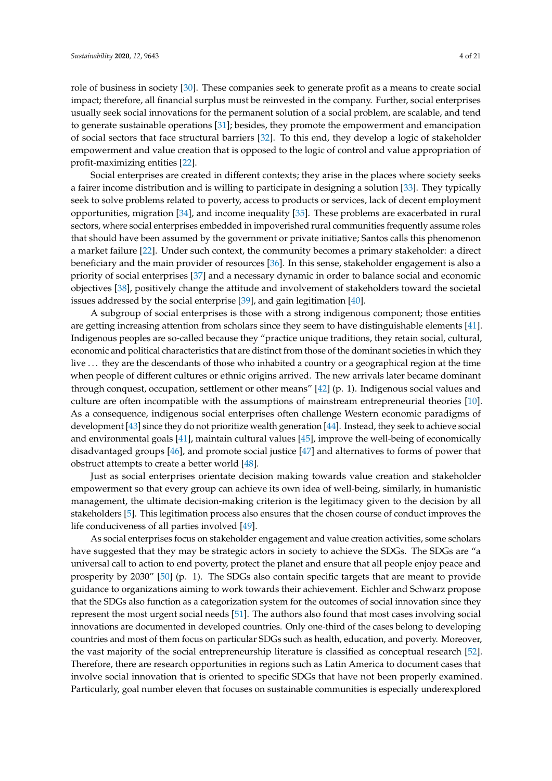role of business in society [\[30\]](#page-17-10). These companies seek to generate profit as a means to create social impact; therefore, all financial surplus must be reinvested in the company. Further, social enterprises usually seek social innovations for the permanent solution of a social problem, are scalable, and tend to generate sustainable operations [\[31\]](#page-17-11); besides, they promote the empowerment and emancipation of social sectors that face structural barriers [\[32\]](#page-17-12). To this end, they develop a logic of stakeholder empowerment and value creation that is opposed to the logic of control and value appropriation of profit-maximizing entities [\[22\]](#page-17-2).

Social enterprises are created in different contexts; they arise in the places where society seeks a fairer income distribution and is willing to participate in designing a solution [\[33\]](#page-17-13). They typically seek to solve problems related to poverty, access to products or services, lack of decent employment opportunities, migration [\[34\]](#page-17-14), and income inequality [\[35\]](#page-17-15). These problems are exacerbated in rural sectors, where social enterprises embedded in impoverished rural communities frequently assume roles that should have been assumed by the government or private initiative; Santos calls this phenomenon a market failure [\[22\]](#page-17-2). Under such context, the community becomes a primary stakeholder: a direct beneficiary and the main provider of resources [\[36\]](#page-17-16). In this sense, stakeholder engagement is also a priority of social enterprises [\[37\]](#page-17-17) and a necessary dynamic in order to balance social and economic objectives [\[38\]](#page-17-18), positively change the attitude and involvement of stakeholders toward the societal issues addressed by the social enterprise [\[39\]](#page-17-19), and gain legitimation [\[40\]](#page-17-20).

A subgroup of social enterprises is those with a strong indigenous component; those entities are getting increasing attention from scholars since they seem to have distinguishable elements [\[41\]](#page-17-21). Indigenous peoples are so-called because they "practice unique traditions, they retain social, cultural, economic and political characteristics that are distinct from those of the dominant societies in which they live . . . they are the descendants of those who inhabited a country or a geographical region at the time when people of different cultures or ethnic origins arrived. The new arrivals later became dominant through conquest, occupation, settlement or other means" [\[42\]](#page-17-22) (p. 1). Indigenous social values and culture are often incompatible with the assumptions of mainstream entrepreneurial theories [\[10\]](#page-16-9). As a consequence, indigenous social enterprises often challenge Western economic paradigms of development [\[43\]](#page-17-23) since they do not prioritize wealth generation [\[44\]](#page-17-24). Instead, they seek to achieve social and environmental goals [\[41\]](#page-17-21), maintain cultural values [\[45\]](#page-18-0), improve the well-being of economically disadvantaged groups [\[46\]](#page-18-1), and promote social justice [\[47\]](#page-18-2) and alternatives to forms of power that obstruct attempts to create a better world [\[48\]](#page-18-3).

Just as social enterprises orientate decision making towards value creation and stakeholder empowerment so that every group can achieve its own idea of well-being, similarly, in humanistic management, the ultimate decision-making criterion is the legitimacy given to the decision by all stakeholders [\[5\]](#page-16-4). This legitimation process also ensures that the chosen course of conduct improves the life conduciveness of all parties involved [\[49\]](#page-18-4).

As social enterprises focus on stakeholder engagement and value creation activities, some scholars have suggested that they may be strategic actors in society to achieve the SDGs. The SDGs are "a universal call to action to end poverty, protect the planet and ensure that all people enjoy peace and prosperity by 2030" [\[50\]](#page-18-5) (p. 1). The SDGs also contain specific targets that are meant to provide guidance to organizations aiming to work towards their achievement. Eichler and Schwarz propose that the SDGs also function as a categorization system for the outcomes of social innovation since they represent the most urgent social needs [\[51\]](#page-18-6). The authors also found that most cases involving social innovations are documented in developed countries. Only one-third of the cases belong to developing countries and most of them focus on particular SDGs such as health, education, and poverty. Moreover, the vast majority of the social entrepreneurship literature is classified as conceptual research [\[52\]](#page-18-7). Therefore, there are research opportunities in regions such as Latin America to document cases that involve social innovation that is oriented to specific SDGs that have not been properly examined. Particularly, goal number eleven that focuses on sustainable communities is especially underexplored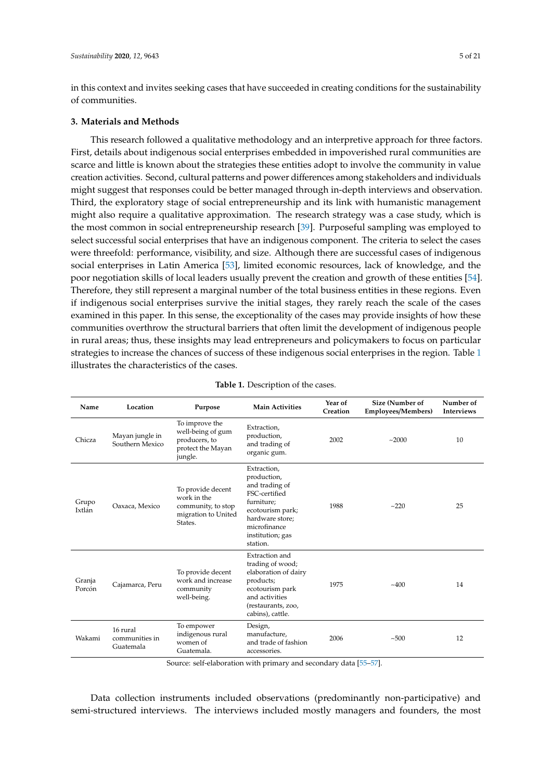in this context and invites seeking cases that have succeeded in creating conditions for the sustainability of communities.

## **3. Materials and Methods**

This research followed a qualitative methodology and an interpretive approach for three factors. First, details about indigenous social enterprises embedded in impoverished rural communities are scarce and little is known about the strategies these entities adopt to involve the community in value creation activities. Second, cultural patterns and power differences among stakeholders and individuals might suggest that responses could be better managed through in-depth interviews and observation. Third, the exploratory stage of social entrepreneurship and its link with humanistic management might also require a qualitative approximation. The research strategy was a case study, which is the most common in social entrepreneurship research [\[39\]](#page-17-19). Purposeful sampling was employed to select successful social enterprises that have an indigenous component. The criteria to select the cases were threefold: performance, visibility, and size. Although there are successful cases of indigenous social enterprises in Latin America [\[53\]](#page-18-8), limited economic resources, lack of knowledge, and the poor negotiation skills of local leaders usually prevent the creation and growth of these entities [\[54\]](#page-18-9). Therefore, they still represent a marginal number of the total business entities in these regions. Even if indigenous social enterprises survive the initial stages, they rarely reach the scale of the cases examined in this paper. In this sense, the exceptionality of the cases may provide insights of how these communities overthrow the structural barriers that often limit the development of indigenous people in rural areas; thus, these insights may lead entrepreneurs and policymakers to focus on particular strategies to increase the chances of success of these indigenous social enterprises in the region. Table [1](#page-4-0) illustrates the characteristics of the cases.

<span id="page-4-0"></span>

| Name             | Location                                | Purpose                                                                                  | <b>Main Activities</b>                                                                                                                                             | Year of<br>Creation | Size (Number of<br><b>Employees/Members)</b> | Number of<br><b>Interviews</b> |
|------------------|-----------------------------------------|------------------------------------------------------------------------------------------|--------------------------------------------------------------------------------------------------------------------------------------------------------------------|---------------------|----------------------------------------------|--------------------------------|
| Chicza           | Mayan jungle in<br>Southern Mexico      | To improve the<br>well-being of gum<br>producers, to<br>protect the Mayan<br>jungle.     | Extraction,<br>production,<br>and trading of<br>organic gum.                                                                                                       | 2002                | ~2000                                        | 10                             |
| Grupo<br>Ixtlán  | Oaxaca, Mexico                          | To provide decent<br>work in the<br>community, to stop<br>migration to United<br>States. | Extraction,<br>production,<br>and trading of<br>FSC-certified<br>furniture;<br>ecotourism park;<br>hardware store:<br>microfinance<br>institution; gas<br>station. | 1988                | ~220                                         | 25                             |
| Granja<br>Porcón | Cajamarca, Peru                         | To provide decent<br>work and increase<br>community<br>well-being.                       | Extraction and<br>trading of wood;<br>elaboration of dairy<br>products;<br>ecotourism park<br>and activities<br>(restaurants, zoo,<br>cabins), cattle.             | 1975                | ~100                                         | 14                             |
| Wakami           | 16 rural<br>communities in<br>Guatemala | To empower<br>indigenous rural<br>women of<br>Guatemala.                                 | Design,<br>manufacture,<br>and trade of fashion<br>accessories.                                                                                                    | 2006                | ~100                                         | 12                             |

Source: self-elaboration with primary and secondary data [\[55–](#page-18-10)[57\]](#page-18-11).

Data collection instruments included observations (predominantly non-participative) and semi-structured interviews. The interviews included mostly managers and founders, the most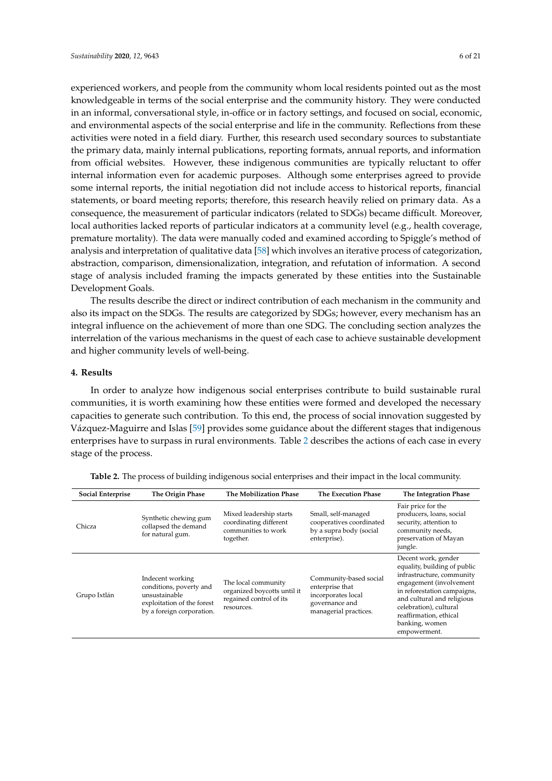experienced workers, and people from the community whom local residents pointed out as the most knowledgeable in terms of the social enterprise and the community history. They were conducted in an informal, conversational style, in-office or in factory settings, and focused on social, economic, and environmental aspects of the social enterprise and life in the community. Reflections from these activities were noted in a field diary. Further, this research used secondary sources to substantiate the primary data, mainly internal publications, reporting formats, annual reports, and information from official websites. However, these indigenous communities are typically reluctant to offer internal information even for academic purposes. Although some enterprises agreed to provide some internal reports, the initial negotiation did not include access to historical reports, financial statements, or board meeting reports; therefore, this research heavily relied on primary data. As a consequence, the measurement of particular indicators (related to SDGs) became difficult. Moreover, local authorities lacked reports of particular indicators at a community level (e.g., health coverage, premature mortality). The data were manually coded and examined according to Spiggle's method of

analysis and interpretation of qualitative data [\[58\]](#page-18-12) which involves an iterative process of categorization, abstraction, comparison, dimensionalization, integration, and refutation of information. A second stage of analysis included framing the impacts generated by these entities into the Sustainable Development Goals.

The results describe the direct or indirect contribution of each mechanism in the community and also its impact on the SDGs. The results are categorized by SDGs; however, every mechanism has an integral influence on the achievement of more than one SDG. The concluding section analyzes the interrelation of the various mechanisms in the quest of each case to achieve sustainable development and higher community levels of well-being.

## **4. Results**

In order to analyze how indigenous social enterprises contribute to build sustainable rural communities, it is worth examining how these entities were formed and developed the necessary capacities to generate such contribution. To this end, the process of social innovation suggested by Vázquez-Maguirre and Islas [\[59\]](#page-18-13) provides some guidance about the different stages that indigenous enterprises have to surpass in rural environments. Table [2](#page-6-0) describes the actions of each case in every stage of the process.

| Social Enterprise | The Origin Phase                                                                                                        | The Mobilization Phase                                                                      | <b>The Execution Phase</b>                                                                                 | The Integration Phase                                                                                                                                                                                                                                          |
|-------------------|-------------------------------------------------------------------------------------------------------------------------|---------------------------------------------------------------------------------------------|------------------------------------------------------------------------------------------------------------|----------------------------------------------------------------------------------------------------------------------------------------------------------------------------------------------------------------------------------------------------------------|
| Chicza            | Synthetic chewing gum<br>collapsed the demand<br>for natural gum.                                                       | Mixed leadership starts<br>coordinating different<br>communities to work<br>together.       | Small, self-managed<br>cooperatives coordinated<br>by a supra body (social<br>enterprise).                 | Fair price for the<br>producers, loans, social<br>security, attention to<br>community needs,<br>preservation of Mayan<br>jungle.                                                                                                                               |
| Grupo Ixtlán      | Indecent working<br>conditions, poverty and<br>unsustainable<br>exploitation of the forest<br>by a foreign corporation. | The local community<br>organized boycotts until it<br>regained control of its<br>resources. | Community-based social<br>enterprise that<br>incorporates local<br>governance and<br>managerial practices. | Decent work, gender<br>equality, building of public<br>infrastructure, community<br>engagement (involvement<br>in reforestation campaigns,<br>and cultural and religious<br>celebration), cultural<br>reaffirmation, ethical<br>banking, women<br>empowerment. |

**Table 2.** The process of building indigenous social enterprises and their impact in the local community.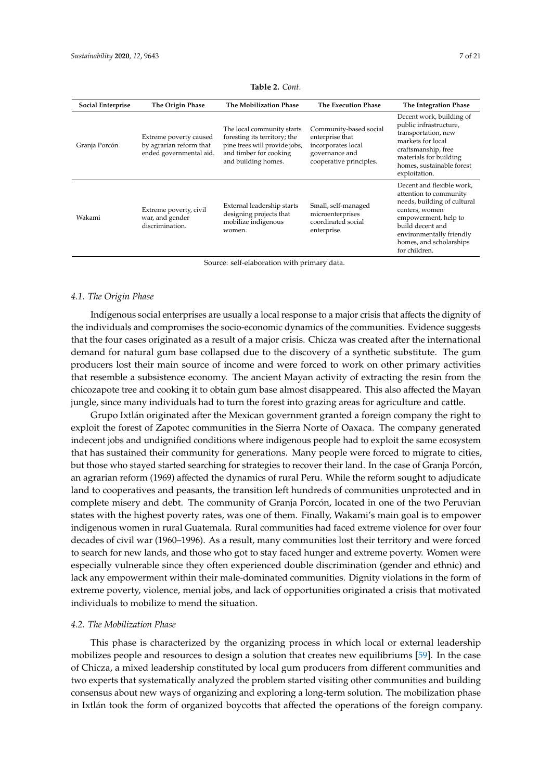<span id="page-6-0"></span>

| Social Enterprise | The Origin Phase                                                             | The Mobilization Phase                                                                                                                       | <b>The Execution Phase</b>                                                                                   | The Integration Phase                                                                                                                                                                                                    |
|-------------------|------------------------------------------------------------------------------|----------------------------------------------------------------------------------------------------------------------------------------------|--------------------------------------------------------------------------------------------------------------|--------------------------------------------------------------------------------------------------------------------------------------------------------------------------------------------------------------------------|
| Granja Porcón     | Extreme poverty caused<br>by agrarian reform that<br>ended governmental aid. | The local community starts<br>foresting its territory; the<br>pine trees will provide jobs,<br>and timber for cooking<br>and building homes. | Community-based social<br>enterprise that<br>incorporates local<br>governance and<br>cooperative principles. | Decent work, building of<br>public infrastructure,<br>transportation, new<br>markets for local<br>craftsmanship, free<br>materials for building<br>homes, sustainable forest<br>exploitation.                            |
| Wakami            | Extreme poverty, civil<br>war, and gender<br>discrimination.                 | External leadership starts<br>designing projects that<br>mobilize indigenous<br>women.                                                       | Small, self-managed<br>microenterprises<br>coordinated social<br>enterprise.                                 | Decent and flexible work,<br>attention to community<br>needs, building of cultural<br>centers, women<br>empowerment, help to<br>build decent and<br>environmentally friendly<br>homes, and scholarships<br>for children. |

**Table 2.** *Cont.*

Source: self-elaboration with primary data.

## *4.1. The Origin Phase*

Indigenous social enterprises are usually a local response to a major crisis that affects the dignity of the individuals and compromises the socio-economic dynamics of the communities. Evidence suggests that the four cases originated as a result of a major crisis. Chicza was created after the international demand for natural gum base collapsed due to the discovery of a synthetic substitute. The gum producers lost their main source of income and were forced to work on other primary activities that resemble a subsistence economy. The ancient Mayan activity of extracting the resin from the chicozapote tree and cooking it to obtain gum base almost disappeared. This also affected the Mayan jungle, since many individuals had to turn the forest into grazing areas for agriculture and cattle.

Grupo Ixtlán originated after the Mexican government granted a foreign company the right to exploit the forest of Zapotec communities in the Sierra Norte of Oaxaca. The company generated indecent jobs and undignified conditions where indigenous people had to exploit the same ecosystem that has sustained their community for generations. Many people were forced to migrate to cities, but those who stayed started searching for strategies to recover their land. In the case of Granja Porcón, an agrarian reform (1969) affected the dynamics of rural Peru. While the reform sought to adjudicate land to cooperatives and peasants, the transition left hundreds of communities unprotected and in complete misery and debt. The community of Granja Porcón, located in one of the two Peruvian states with the highest poverty rates, was one of them. Finally, Wakami's main goal is to empower indigenous women in rural Guatemala. Rural communities had faced extreme violence for over four decades of civil war (1960–1996). As a result, many communities lost their territory and were forced to search for new lands, and those who got to stay faced hunger and extreme poverty. Women were especially vulnerable since they often experienced double discrimination (gender and ethnic) and lack any empowerment within their male-dominated communities. Dignity violations in the form of extreme poverty, violence, menial jobs, and lack of opportunities originated a crisis that motivated individuals to mobilize to mend the situation.

## *4.2. The Mobilization Phase*

This phase is characterized by the organizing process in which local or external leadership mobilizes people and resources to design a solution that creates new equilibriums [\[59\]](#page-18-13). In the case of Chicza, a mixed leadership constituted by local gum producers from different communities and two experts that systematically analyzed the problem started visiting other communities and building consensus about new ways of organizing and exploring a long-term solution. The mobilization phase in Ixtlán took the form of organized boycotts that affected the operations of the foreign company.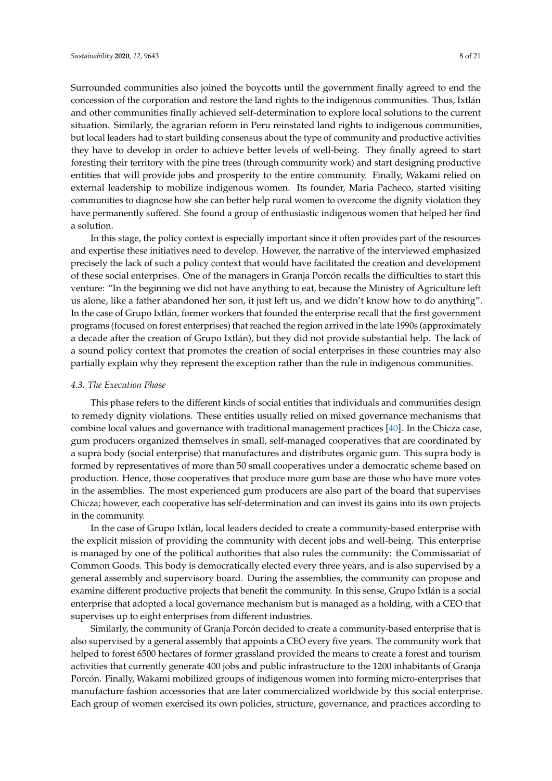Surrounded communities also joined the boycotts until the government finally agreed to end the concession of the corporation and restore the land rights to the indigenous communities. Thus, Ixtlán and other communities finally achieved self-determination to explore local solutions to the current situation. Similarly, the agrarian reform in Peru reinstated land rights to indigenous communities, but local leaders had to start building consensus about the type of community and productive activities they have to develop in order to achieve better levels of well-being. They finally agreed to start foresting their territory with the pine trees (through community work) and start designing productive entities that will provide jobs and prosperity to the entire community. Finally, Wakami relied on external leadership to mobilize indigenous women. Its founder, Maria Pacheco, started visiting communities to diagnose how she can better help rural women to overcome the dignity violation they have permanently suffered. She found a group of enthusiastic indigenous women that helped her find a solution.

In this stage, the policy context is especially important since it often provides part of the resources and expertise these initiatives need to develop. However, the narrative of the interviewed emphasized precisely the lack of such a policy context that would have facilitated the creation and development of these social enterprises. One of the managers in Granja Porcón recalls the difficulties to start this venture: "In the beginning we did not have anything to eat, because the Ministry of Agriculture left us alone, like a father abandoned her son, it just left us, and we didn't know how to do anything". In the case of Grupo Ixtlán, former workers that founded the enterprise recall that the first government programs (focused on forest enterprises) that reached the region arrived in the late 1990s (approximately a decade after the creation of Grupo Ixtlán), but they did not provide substantial help. The lack of a sound policy context that promotes the creation of social enterprises in these countries may also partially explain why they represent the exception rather than the rule in indigenous communities.

#### *4.3. The Execution Phase*

This phase refers to the different kinds of social entities that individuals and communities design to remedy dignity violations. These entities usually relied on mixed governance mechanisms that combine local values and governance with traditional management practices [\[40\]](#page-17-20). In the Chicza case, gum producers organized themselves in small, self-managed cooperatives that are coordinated by a supra body (social enterprise) that manufactures and distributes organic gum. This supra body is formed by representatives of more than 50 small cooperatives under a democratic scheme based on production. Hence, those cooperatives that produce more gum base are those who have more votes in the assemblies. The most experienced gum producers are also part of the board that supervises Chicza; however, each cooperative has self-determination and can invest its gains into its own projects in the community.

In the case of Grupo Ixtlán, local leaders decided to create a community-based enterprise with the explicit mission of providing the community with decent jobs and well-being. This enterprise is managed by one of the political authorities that also rules the community: the Commissariat of Common Goods. This body is democratically elected every three years, and is also supervised by a general assembly and supervisory board. During the assemblies, the community can propose and examine different productive projects that benefit the community. In this sense, Grupo Ixtlán is a social enterprise that adopted a local governance mechanism but is managed as a holding, with a CEO that supervises up to eight enterprises from different industries.

Similarly, the community of Granja Porcón decided to create a community-based enterprise that is also supervised by a general assembly that appoints a CEO every five years. The community work that helped to forest 6500 hectares of former grassland provided the means to create a forest and tourism activities that currently generate 400 jobs and public infrastructure to the 1200 inhabitants of Granja Porcón. Finally, Wakami mobilized groups of indigenous women into forming micro-enterprises that manufacture fashion accessories that are later commercialized worldwide by this social enterprise. Each group of women exercised its own policies, structure, governance, and practices according to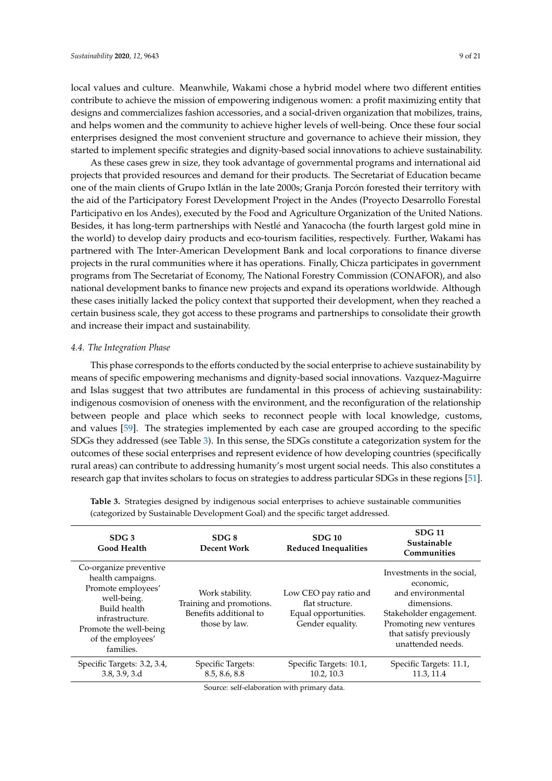local values and culture. Meanwhile, Wakami chose a hybrid model where two different entities contribute to achieve the mission of empowering indigenous women: a profit maximizing entity that designs and commercializes fashion accessories, and a social-driven organization that mobilizes, trains, and helps women and the community to achieve higher levels of well-being. Once these four social enterprises designed the most convenient structure and governance to achieve their mission, they started to implement specific strategies and dignity-based social innovations to achieve sustainability.

As these cases grew in size, they took advantage of governmental programs and international aid projects that provided resources and demand for their products. The Secretariat of Education became one of the main clients of Grupo Ixtlán in the late 2000s; Granja Porcón forested their territory with the aid of the Participatory Forest Development Project in the Andes (Proyecto Desarrollo Forestal Participativo en los Andes), executed by the Food and Agriculture Organization of the United Nations. Besides, it has long-term partnerships with Nestlé and Yanacocha (the fourth largest gold mine in the world) to develop dairy products and eco-tourism facilities, respectively. Further, Wakami has partnered with The Inter-American Development Bank and local corporations to finance diverse projects in the rural communities where it has operations. Finally, Chicza participates in government programs from The Secretariat of Economy, The National Forestry Commission (CONAFOR), and also national development banks to finance new projects and expand its operations worldwide. Although these cases initially lacked the policy context that supported their development, when they reached a certain business scale, they got access to these programs and partnerships to consolidate their growth and increase their impact and sustainability.

#### *4.4. The Integration Phase*

This phase corresponds to the efforts conducted by the social enterprise to achieve sustainability by means of specific empowering mechanisms and dignity-based social innovations. Vazquez-Maguirre and Islas suggest that two attributes are fundamental in this process of achieving sustainability: indigenous cosmovision of oneness with the environment, and the reconfiguration of the relationship between people and place which seeks to reconnect people with local knowledge, customs, and values [\[59\]](#page-18-13). The strategies implemented by each case are grouped according to the specific SDGs they addressed (see Table [3\)](#page-8-0). In this sense, the SDGs constitute a categorization system for the outcomes of these social enterprises and represent evidence of how developing countries (specifically rural areas) can contribute to addressing humanity's most urgent social needs. This also constitutes a research gap that invites scholars to focus on strategies to address particular SDGs in these regions [\[51\]](#page-18-6).

| SDG <sub>3</sub><br>Good Health                                                                                                                                                 | SDG 8<br>Decent Work                                                                   | SDG 10<br>Reduced Inequalities                                                       | <b>SDG 11</b><br>Sustainable<br>Communities                                                                                                                                      |  |
|---------------------------------------------------------------------------------------------------------------------------------------------------------------------------------|----------------------------------------------------------------------------------------|--------------------------------------------------------------------------------------|----------------------------------------------------------------------------------------------------------------------------------------------------------------------------------|--|
| Co-organize preventive<br>health campaigns.<br>Promote employees'<br>well-being.<br>Build health<br>infrastructure.<br>Promote the well-being<br>of the employees'<br>families. | Work stability.<br>Training and promotions.<br>Benefits additional to<br>those by law. | Low CEO pay ratio and<br>flat structure.<br>Equal opportunities.<br>Gender equality. | Investments in the social,<br>economic,<br>and environmental<br>dimensions.<br>Stakeholder engagement.<br>Promoting new ventures<br>that satisfy previously<br>unattended needs. |  |
| Specific Targets: 3.2, 3.4,<br>3.8, 3.9, 3.d                                                                                                                                    | Specific Targets:<br>8.5, 8.6, 8.8                                                     | Specific Targets: 10.1,<br>10.2, 10.3                                                | Specific Targets: 11.1,<br>11.3, 11.4                                                                                                                                            |  |
| . Common and Called and Common the matter case of the                                                                                                                           |                                                                                        |                                                                                      |                                                                                                                                                                                  |  |

<span id="page-8-0"></span>**Table 3.** Strategies designed by indigenous social enterprises to achieve sustainable communities (categorized by Sustainable Development Goal) and the specific target addressed.

Source: self-elaboration with primary data.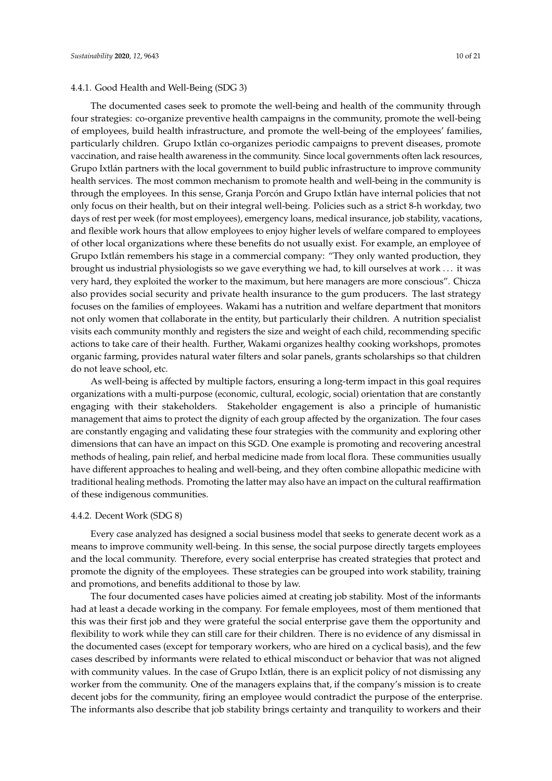The documented cases seek to promote the well-being and health of the community through four strategies: co-organize preventive health campaigns in the community, promote the well-being of employees, build health infrastructure, and promote the well-being of the employees' families, particularly children. Grupo Ixtlán co-organizes periodic campaigns to prevent diseases, promote vaccination, and raise health awareness in the community. Since local governments often lack resources, Grupo Ixtlán partners with the local government to build public infrastructure to improve community health services. The most common mechanism to promote health and well-being in the community is through the employees. In this sense, Granja Porcón and Grupo Ixtlán have internal policies that not only focus on their health, but on their integral well-being. Policies such as a strict 8-h workday, two days of rest per week (for most employees), emergency loans, medical insurance, job stability, vacations, and flexible work hours that allow employees to enjoy higher levels of welfare compared to employees of other local organizations where these benefits do not usually exist. For example, an employee of Grupo Ixtlán remembers his stage in a commercial company: "They only wanted production, they brought us industrial physiologists so we gave everything we had, to kill ourselves at work . . . it was very hard, they exploited the worker to the maximum, but here managers are more conscious". Chicza also provides social security and private health insurance to the gum producers. The last strategy focuses on the families of employees. Wakami has a nutrition and welfare department that monitors not only women that collaborate in the entity, but particularly their children. A nutrition specialist visits each community monthly and registers the size and weight of each child, recommending specific actions to take care of their health. Further, Wakami organizes healthy cooking workshops, promotes organic farming, provides natural water filters and solar panels, grants scholarships so that children do not leave school, etc.

As well-being is affected by multiple factors, ensuring a long-term impact in this goal requires organizations with a multi-purpose (economic, cultural, ecologic, social) orientation that are constantly engaging with their stakeholders. Stakeholder engagement is also a principle of humanistic management that aims to protect the dignity of each group affected by the organization. The four cases are constantly engaging and validating these four strategies with the community and exploring other dimensions that can have an impact on this SGD. One example is promoting and recovering ancestral methods of healing, pain relief, and herbal medicine made from local flora. These communities usually have different approaches to healing and well-being, and they often combine allopathic medicine with traditional healing methods. Promoting the latter may also have an impact on the cultural reaffirmation of these indigenous communities.

#### 4.4.2. Decent Work (SDG 8)

Every case analyzed has designed a social business model that seeks to generate decent work as a means to improve community well-being. In this sense, the social purpose directly targets employees and the local community. Therefore, every social enterprise has created strategies that protect and promote the dignity of the employees. These strategies can be grouped into work stability, training and promotions, and benefits additional to those by law.

The four documented cases have policies aimed at creating job stability. Most of the informants had at least a decade working in the company. For female employees, most of them mentioned that this was their first job and they were grateful the social enterprise gave them the opportunity and flexibility to work while they can still care for their children. There is no evidence of any dismissal in the documented cases (except for temporary workers, who are hired on a cyclical basis), and the few cases described by informants were related to ethical misconduct or behavior that was not aligned with community values. In the case of Grupo Ixtlán, there is an explicit policy of not dismissing any worker from the community. One of the managers explains that, if the company's mission is to create decent jobs for the community, firing an employee would contradict the purpose of the enterprise. The informants also describe that job stability brings certainty and tranquility to workers and their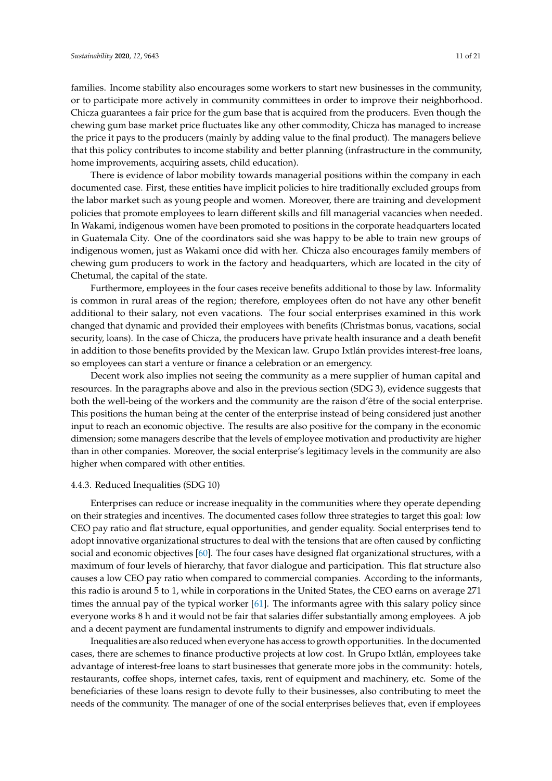families. Income stability also encourages some workers to start new businesses in the community, or to participate more actively in community committees in order to improve their neighborhood. Chicza guarantees a fair price for the gum base that is acquired from the producers. Even though the chewing gum base market price fluctuates like any other commodity, Chicza has managed to increase the price it pays to the producers (mainly by adding value to the final product). The managers believe that this policy contributes to income stability and better planning (infrastructure in the community, home improvements, acquiring assets, child education).

There is evidence of labor mobility towards managerial positions within the company in each documented case. First, these entities have implicit policies to hire traditionally excluded groups from the labor market such as young people and women. Moreover, there are training and development policies that promote employees to learn different skills and fill managerial vacancies when needed. In Wakami, indigenous women have been promoted to positions in the corporate headquarters located in Guatemala City. One of the coordinators said she was happy to be able to train new groups of indigenous women, just as Wakami once did with her. Chicza also encourages family members of chewing gum producers to work in the factory and headquarters, which are located in the city of Chetumal, the capital of the state.

Furthermore, employees in the four cases receive benefits additional to those by law. Informality is common in rural areas of the region; therefore, employees often do not have any other benefit additional to their salary, not even vacations. The four social enterprises examined in this work changed that dynamic and provided their employees with benefits (Christmas bonus, vacations, social security, loans). In the case of Chicza, the producers have private health insurance and a death benefit in addition to those benefits provided by the Mexican law. Grupo Ixtlán provides interest-free loans, so employees can start a venture or finance a celebration or an emergency.

Decent work also implies not seeing the community as a mere supplier of human capital and resources. In the paragraphs above and also in the previous section (SDG 3), evidence suggests that both the well-being of the workers and the community are the raison d'être of the social enterprise. This positions the human being at the center of the enterprise instead of being considered just another input to reach an economic objective. The results are also positive for the company in the economic dimension; some managers describe that the levels of employee motivation and productivity are higher than in other companies. Moreover, the social enterprise's legitimacy levels in the community are also higher when compared with other entities.

#### 4.4.3. Reduced Inequalities (SDG 10)

Enterprises can reduce or increase inequality in the communities where they operate depending on their strategies and incentives. The documented cases follow three strategies to target this goal: low CEO pay ratio and flat structure, equal opportunities, and gender equality. Social enterprises tend to adopt innovative organizational structures to deal with the tensions that are often caused by conflicting social and economic objectives [\[60\]](#page-18-14). The four cases have designed flat organizational structures, with a maximum of four levels of hierarchy, that favor dialogue and participation. This flat structure also causes a low CEO pay ratio when compared to commercial companies. According to the informants, this radio is around 5 to 1, while in corporations in the United States, the CEO earns on average 271 times the annual pay of the typical worker [\[61\]](#page-18-15). The informants agree with this salary policy since everyone works 8 h and it would not be fair that salaries differ substantially among employees. A job and a decent payment are fundamental instruments to dignify and empower individuals.

Inequalities are also reduced when everyone has access to growth opportunities. In the documented cases, there are schemes to finance productive projects at low cost. In Grupo Ixtlán, employees take advantage of interest-free loans to start businesses that generate more jobs in the community: hotels, restaurants, coffee shops, internet cafes, taxis, rent of equipment and machinery, etc. Some of the beneficiaries of these loans resign to devote fully to their businesses, also contributing to meet the needs of the community. The manager of one of the social enterprises believes that, even if employees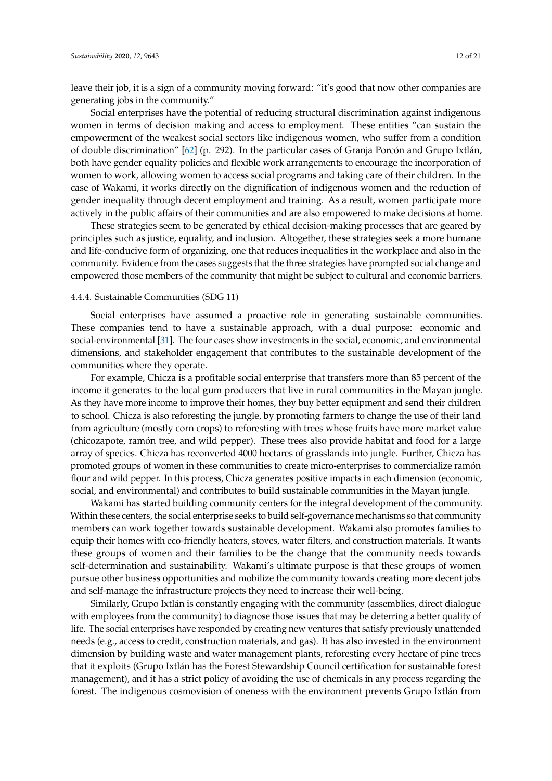leave their job, it is a sign of a community moving forward: "it's good that now other companies are generating jobs in the community."

Social enterprises have the potential of reducing structural discrimination against indigenous women in terms of decision making and access to employment. These entities "can sustain the empowerment of the weakest social sectors like indigenous women, who suffer from a condition of double discrimination" [\[62\]](#page-18-16) (p. 292). In the particular cases of Granja Porcón and Grupo Ixtlán, both have gender equality policies and flexible work arrangements to encourage the incorporation of women to work, allowing women to access social programs and taking care of their children. In the case of Wakami, it works directly on the dignification of indigenous women and the reduction of gender inequality through decent employment and training. As a result, women participate more actively in the public affairs of their communities and are also empowered to make decisions at home.

These strategies seem to be generated by ethical decision-making processes that are geared by principles such as justice, equality, and inclusion. Altogether, these strategies seek a more humane and life-conducive form of organizing, one that reduces inequalities in the workplace and also in the community. Evidence from the cases suggests that the three strategies have prompted social change and empowered those members of the community that might be subject to cultural and economic barriers.

## 4.4.4. Sustainable Communities (SDG 11)

Social enterprises have assumed a proactive role in generating sustainable communities. These companies tend to have a sustainable approach, with a dual purpose: economic and social-environmental [\[31\]](#page-17-11). The four cases show investments in the social, economic, and environmental dimensions, and stakeholder engagement that contributes to the sustainable development of the communities where they operate.

For example, Chicza is a profitable social enterprise that transfers more than 85 percent of the income it generates to the local gum producers that live in rural communities in the Mayan jungle. As they have more income to improve their homes, they buy better equipment and send their children to school. Chicza is also reforesting the jungle, by promoting farmers to change the use of their land from agriculture (mostly corn crops) to reforesting with trees whose fruits have more market value (chicozapote, ramón tree, and wild pepper). These trees also provide habitat and food for a large array of species. Chicza has reconverted 4000 hectares of grasslands into jungle. Further, Chicza has promoted groups of women in these communities to create micro-enterprises to commercialize ramón flour and wild pepper. In this process, Chicza generates positive impacts in each dimension (economic, social, and environmental) and contributes to build sustainable communities in the Mayan jungle.

Wakami has started building community centers for the integral development of the community. Within these centers, the social enterprise seeks to build self-governance mechanisms so that community members can work together towards sustainable development. Wakami also promotes families to equip their homes with eco-friendly heaters, stoves, water filters, and construction materials. It wants these groups of women and their families to be the change that the community needs towards self-determination and sustainability. Wakami's ultimate purpose is that these groups of women pursue other business opportunities and mobilize the community towards creating more decent jobs and self-manage the infrastructure projects they need to increase their well-being.

Similarly, Grupo Ixtlán is constantly engaging with the community (assemblies, direct dialogue with employees from the community) to diagnose those issues that may be deterring a better quality of life. The social enterprises have responded by creating new ventures that satisfy previously unattended needs (e.g., access to credit, construction materials, and gas). It has also invested in the environment dimension by building waste and water management plants, reforesting every hectare of pine trees that it exploits (Grupo Ixtlán has the Forest Stewardship Council certification for sustainable forest management), and it has a strict policy of avoiding the use of chemicals in any process regarding the forest. The indigenous cosmovision of oneness with the environment prevents Grupo Ixtlán from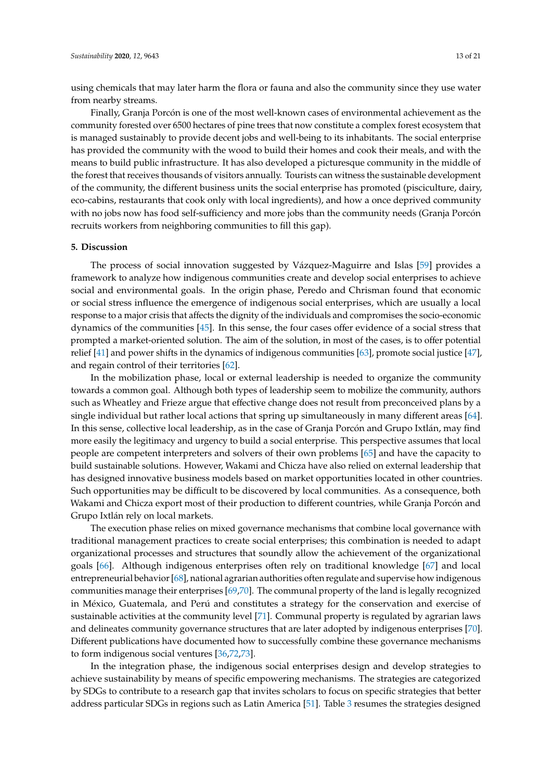using chemicals that may later harm the flora or fauna and also the community since they use water from nearby streams.

Finally, Granja Porcón is one of the most well-known cases of environmental achievement as the community forested over 6500 hectares of pine trees that now constitute a complex forest ecosystem that is managed sustainably to provide decent jobs and well-being to its inhabitants. The social enterprise has provided the community with the wood to build their homes and cook their meals, and with the means to build public infrastructure. It has also developed a picturesque community in the middle of the forest that receives thousands of visitors annually. Tourists can witness the sustainable development of the community, the different business units the social enterprise has promoted (pisciculture, dairy, eco-cabins, restaurants that cook only with local ingredients), and how a once deprived community with no jobs now has food self-sufficiency and more jobs than the community needs (Granja Porcón recruits workers from neighboring communities to fill this gap).

#### **5. Discussion**

The process of social innovation suggested by Vázquez-Maguirre and Islas [\[59\]](#page-18-13) provides a framework to analyze how indigenous communities create and develop social enterprises to achieve social and environmental goals. In the origin phase, Peredo and Chrisman found that economic or social stress influence the emergence of indigenous social enterprises, which are usually a local response to a major crisis that affects the dignity of the individuals and compromises the socio-economic dynamics of the communities [\[45\]](#page-18-0). In this sense, the four cases offer evidence of a social stress that prompted a market-oriented solution. The aim of the solution, in most of the cases, is to offer potential relief [\[41\]](#page-17-21) and power shifts in the dynamics of indigenous communities [\[63\]](#page-18-17), promote social justice [\[47\]](#page-18-2), and regain control of their territories [\[62\]](#page-18-16).

In the mobilization phase, local or external leadership is needed to organize the community towards a common goal. Although both types of leadership seem to mobilize the community, authors such as Wheatley and Frieze argue that effective change does not result from preconceived plans by a single individual but rather local actions that spring up simultaneously in many different areas [\[64\]](#page-18-18). In this sense, collective local leadership, as in the case of Granja Porcón and Grupo Ixtlán, may find more easily the legitimacy and urgency to build a social enterprise. This perspective assumes that local people are competent interpreters and solvers of their own problems [\[65\]](#page-18-19) and have the capacity to build sustainable solutions. However, Wakami and Chicza have also relied on external leadership that has designed innovative business models based on market opportunities located in other countries. Such opportunities may be difficult to be discovered by local communities. As a consequence, both Wakami and Chicza export most of their production to different countries, while Granja Porcón and Grupo Ixtlán rely on local markets.

The execution phase relies on mixed governance mechanisms that combine local governance with traditional management practices to create social enterprises; this combination is needed to adapt organizational processes and structures that soundly allow the achievement of the organizational goals [\[66\]](#page-18-20). Although indigenous enterprises often rely on traditional knowledge [\[67\]](#page-18-21) and local entrepreneurial behavior [\[68\]](#page-19-0), national agrarian authorities often regulate and supervise how indigenous communities manage their enterprises [\[69](#page-19-1)[,70\]](#page-19-2). The communal property of the land is legally recognized in México, Guatemala, and Perú and constitutes a strategy for the conservation and exercise of sustainable activities at the community level [\[71\]](#page-19-3). Communal property is regulated by agrarian laws and delineates community governance structures that are later adopted by indigenous enterprises [\[70\]](#page-19-2). Different publications have documented how to successfully combine these governance mechanisms to form indigenous social ventures [\[36](#page-17-16)[,72](#page-19-4)[,73\]](#page-19-5).

In the integration phase, the indigenous social enterprises design and develop strategies to achieve sustainability by means of specific empowering mechanisms. The strategies are categorized by SDGs to contribute to a research gap that invites scholars to focus on specific strategies that better address particular SDGs in regions such as Latin America [\[51\]](#page-18-6). Table [3](#page-8-0) resumes the strategies designed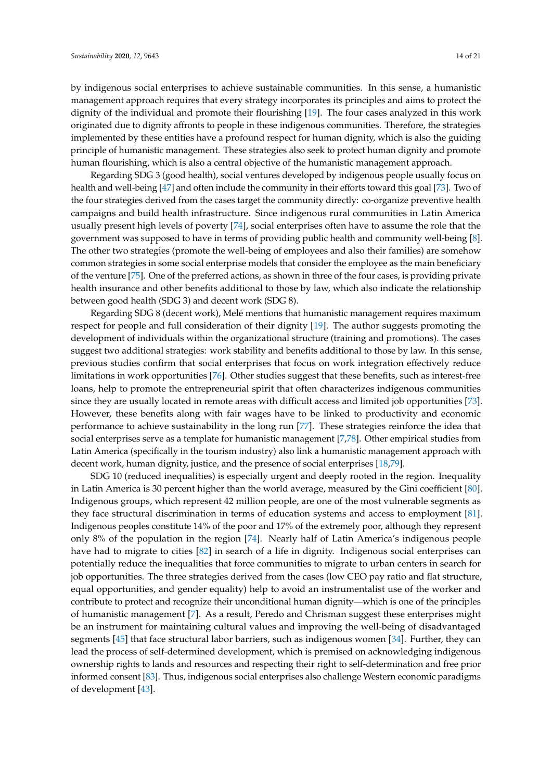by indigenous social enterprises to achieve sustainable communities. In this sense, a humanistic management approach requires that every strategy incorporates its principles and aims to protect the dignity of the individual and promote their flourishing [\[19\]](#page-16-18). The four cases analyzed in this work originated due to dignity affronts to people in these indigenous communities. Therefore, the strategies implemented by these entities have a profound respect for human dignity, which is also the guiding principle of humanistic management. These strategies also seek to protect human dignity and promote human flourishing, which is also a central objective of the humanistic management approach.

Regarding SDG 3 (good health), social ventures developed by indigenous people usually focus on health and well-being [\[47\]](#page-18-2) and often include the community in their efforts toward this goal [\[73\]](#page-19-5). Two of the four strategies derived from the cases target the community directly: co-organize preventive health campaigns and build health infrastructure. Since indigenous rural communities in Latin America usually present high levels of poverty [\[74\]](#page-19-6), social enterprises often have to assume the role that the government was supposed to have in terms of providing public health and community well-being [\[8\]](#page-16-7). The other two strategies (promote the well-being of employees and also their families) are somehow common strategies in some social enterprise models that consider the employee as the main beneficiary of the venture [\[75\]](#page-19-7). One of the preferred actions, as shown in three of the four cases, is providing private health insurance and other benefits additional to those by law, which also indicate the relationship between good health (SDG 3) and decent work (SDG 8).

Regarding SDG 8 (decent work), Melé mentions that humanistic management requires maximum respect for people and full consideration of their dignity [\[19\]](#page-16-18). The author suggests promoting the development of individuals within the organizational structure (training and promotions). The cases suggest two additional strategies: work stability and benefits additional to those by law. In this sense, previous studies confirm that social enterprises that focus on work integration effectively reduce limitations in work opportunities [\[76\]](#page-19-8). Other studies suggest that these benefits, such as interest-free loans, help to promote the entrepreneurial spirit that often characterizes indigenous communities since they are usually located in remote areas with difficult access and limited job opportunities [\[73\]](#page-19-5). However, these benefits along with fair wages have to be linked to productivity and economic performance to achieve sustainability in the long run [\[77\]](#page-19-9). These strategies reinforce the idea that social enterprises serve as a template for humanistic management [\[7,](#page-16-6)[78\]](#page-19-10). Other empirical studies from Latin America (specifically in the tourism industry) also link a humanistic management approach with decent work, human dignity, justice, and the presence of social enterprises [\[18,](#page-16-17)[79\]](#page-19-11).

SDG 10 (reduced inequalities) is especially urgent and deeply rooted in the region. Inequality in Latin America is 30 percent higher than the world average, measured by the Gini coefficient [\[80\]](#page-19-12). Indigenous groups, which represent 42 million people, are one of the most vulnerable segments as they face structural discrimination in terms of education systems and access to employment [\[81\]](#page-19-13). Indigenous peoples constitute 14% of the poor and 17% of the extremely poor, although they represent only 8% of the population in the region [\[74\]](#page-19-6). Nearly half of Latin America's indigenous people have had to migrate to cities [\[82\]](#page-19-14) in search of a life in dignity. Indigenous social enterprises can potentially reduce the inequalities that force communities to migrate to urban centers in search for job opportunities. The three strategies derived from the cases (low CEO pay ratio and flat structure, equal opportunities, and gender equality) help to avoid an instrumentalist use of the worker and contribute to protect and recognize their unconditional human dignity—which is one of the principles of humanistic management [\[7\]](#page-16-6). As a result, Peredo and Chrisman suggest these enterprises might be an instrument for maintaining cultural values and improving the well-being of disadvantaged segments [\[45\]](#page-18-0) that face structural labor barriers, such as indigenous women [\[34\]](#page-17-14). Further, they can lead the process of self-determined development, which is premised on acknowledging indigenous ownership rights to lands and resources and respecting their right to self-determination and free prior informed consent [\[83\]](#page-19-15). Thus, indigenous social enterprises also challenge Western economic paradigms of development [\[43\]](#page-17-23).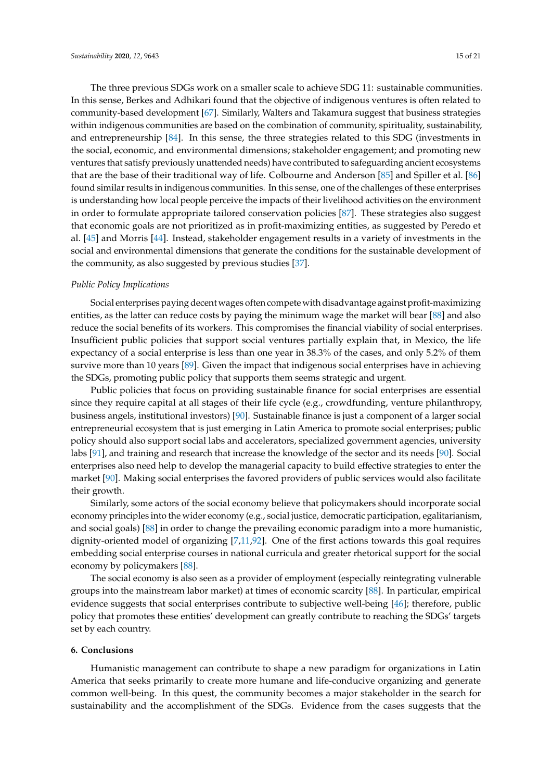The three previous SDGs work on a smaller scale to achieve SDG 11: sustainable communities. In this sense, Berkes and Adhikari found that the objective of indigenous ventures is often related to community-based development [\[67\]](#page-18-21). Similarly, Walters and Takamura suggest that business strategies within indigenous communities are based on the combination of community, spirituality, sustainability, and entrepreneurship [\[84\]](#page-19-16). In this sense, the three strategies related to this SDG (investments in the social, economic, and environmental dimensions; stakeholder engagement; and promoting new ventures that satisfy previously unattended needs) have contributed to safeguarding ancient ecosystems that are the base of their traditional way of life. Colbourne and Anderson [\[85\]](#page-19-17) and Spiller et al. [\[86\]](#page-19-18) found similar results in indigenous communities. In this sense, one of the challenges of these enterprises is understanding how local people perceive the impacts of their livelihood activities on the environment in order to formulate appropriate tailored conservation policies [\[87\]](#page-19-19). These strategies also suggest that economic goals are not prioritized as in profit-maximizing entities, as suggested by Peredo et al. [\[45\]](#page-18-0) and Morris [\[44\]](#page-17-24). Instead, stakeholder engagement results in a variety of investments in the social and environmental dimensions that generate the conditions for the sustainable development of the community, as also suggested by previous studies [\[37\]](#page-17-17).

#### *Public Policy Implications*

Social enterprises paying decent wages often compete with disadvantage against profit-maximizing entities, as the latter can reduce costs by paying the minimum wage the market will bear [\[88\]](#page-19-20) and also reduce the social benefits of its workers. This compromises the financial viability of social enterprises. Insufficient public policies that support social ventures partially explain that, in Mexico, the life expectancy of a social enterprise is less than one year in 38.3% of the cases, and only 5.2% of them survive more than 10 years [\[89\]](#page-20-0). Given the impact that indigenous social enterprises have in achieving the SDGs, promoting public policy that supports them seems strategic and urgent.

Public policies that focus on providing sustainable finance for social enterprises are essential since they require capital at all stages of their life cycle (e.g., crowdfunding, venture philanthropy, business angels, institutional investors) [\[90\]](#page-20-1). Sustainable finance is just a component of a larger social entrepreneurial ecosystem that is just emerging in Latin America to promote social enterprises; public policy should also support social labs and accelerators, specialized government agencies, university labs [\[91\]](#page-20-2), and training and research that increase the knowledge of the sector and its needs [\[90\]](#page-20-1). Social enterprises also need help to develop the managerial capacity to build effective strategies to enter the market [\[90\]](#page-20-1). Making social enterprises the favored providers of public services would also facilitate their growth.

Similarly, some actors of the social economy believe that policymakers should incorporate social economy principles into the wider economy (e.g., social justice, democratic participation, egalitarianism, and social goals) [\[88\]](#page-19-20) in order to change the prevailing economic paradigm into a more humanistic, dignity-oriented model of organizing [\[7,](#page-16-6)[11](#page-16-10)[,92\]](#page-20-3). One of the first actions towards this goal requires embedding social enterprise courses in national curricula and greater rhetorical support for the social economy by policymakers [\[88\]](#page-19-20).

The social economy is also seen as a provider of employment (especially reintegrating vulnerable groups into the mainstream labor market) at times of economic scarcity [\[88\]](#page-19-20). In particular, empirical evidence suggests that social enterprises contribute to subjective well-being [\[46\]](#page-18-1); therefore, public policy that promotes these entities' development can greatly contribute to reaching the SDGs' targets set by each country.

#### **6. Conclusions**

Humanistic management can contribute to shape a new paradigm for organizations in Latin America that seeks primarily to create more humane and life-conducive organizing and generate common well-being. In this quest, the community becomes a major stakeholder in the search for sustainability and the accomplishment of the SDGs. Evidence from the cases suggests that the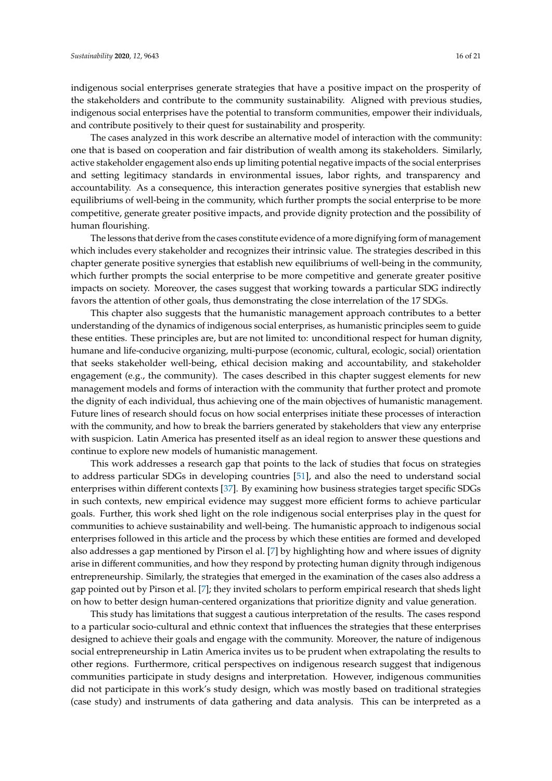indigenous social enterprises generate strategies that have a positive impact on the prosperity of the stakeholders and contribute to the community sustainability. Aligned with previous studies, indigenous social enterprises have the potential to transform communities, empower their individuals, and contribute positively to their quest for sustainability and prosperity.

The cases analyzed in this work describe an alternative model of interaction with the community: one that is based on cooperation and fair distribution of wealth among its stakeholders. Similarly, active stakeholder engagement also ends up limiting potential negative impacts of the social enterprises and setting legitimacy standards in environmental issues, labor rights, and transparency and accountability. As a consequence, this interaction generates positive synergies that establish new equilibriums of well-being in the community, which further prompts the social enterprise to be more competitive, generate greater positive impacts, and provide dignity protection and the possibility of human flourishing.

The lessons that derive from the cases constitute evidence of a more dignifying form of management which includes every stakeholder and recognizes their intrinsic value. The strategies described in this chapter generate positive synergies that establish new equilibriums of well-being in the community, which further prompts the social enterprise to be more competitive and generate greater positive impacts on society. Moreover, the cases suggest that working towards a particular SDG indirectly favors the attention of other goals, thus demonstrating the close interrelation of the 17 SDGs.

This chapter also suggests that the humanistic management approach contributes to a better understanding of the dynamics of indigenous social enterprises, as humanistic principles seem to guide these entities. These principles are, but are not limited to: unconditional respect for human dignity, humane and life-conducive organizing, multi-purpose (economic, cultural, ecologic, social) orientation that seeks stakeholder well-being, ethical decision making and accountability, and stakeholder engagement (e.g., the community). The cases described in this chapter suggest elements for new management models and forms of interaction with the community that further protect and promote the dignity of each individual, thus achieving one of the main objectives of humanistic management. Future lines of research should focus on how social enterprises initiate these processes of interaction with the community, and how to break the barriers generated by stakeholders that view any enterprise with suspicion. Latin America has presented itself as an ideal region to answer these questions and continue to explore new models of humanistic management.

This work addresses a research gap that points to the lack of studies that focus on strategies to address particular SDGs in developing countries [\[51\]](#page-18-6), and also the need to understand social enterprises within different contexts [\[37\]](#page-17-17). By examining how business strategies target specific SDGs in such contexts, new empirical evidence may suggest more efficient forms to achieve particular goals. Further, this work shed light on the role indigenous social enterprises play in the quest for communities to achieve sustainability and well-being. The humanistic approach to indigenous social enterprises followed in this article and the process by which these entities are formed and developed also addresses a gap mentioned by Pirson el al. [\[7\]](#page-16-6) by highlighting how and where issues of dignity arise in different communities, and how they respond by protecting human dignity through indigenous entrepreneurship. Similarly, the strategies that emerged in the examination of the cases also address a gap pointed out by Pirson et al. [\[7\]](#page-16-6); they invited scholars to perform empirical research that sheds light on how to better design human-centered organizations that prioritize dignity and value generation.

This study has limitations that suggest a cautious interpretation of the results. The cases respond to a particular socio-cultural and ethnic context that influences the strategies that these enterprises designed to achieve their goals and engage with the community. Moreover, the nature of indigenous social entrepreneurship in Latin America invites us to be prudent when extrapolating the results to other regions. Furthermore, critical perspectives on indigenous research suggest that indigenous communities participate in study designs and interpretation. However, indigenous communities did not participate in this work's study design, which was mostly based on traditional strategies (case study) and instruments of data gathering and data analysis. This can be interpreted as a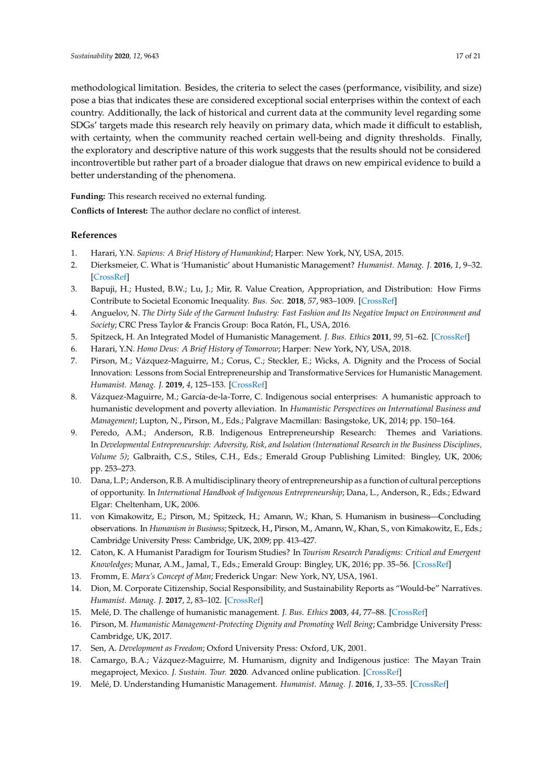methodological limitation. Besides, the criteria to select the cases (performance, visibility, and size) pose a bias that indicates these are considered exceptional social enterprises within the context of each country. Additionally, the lack of historical and current data at the community level regarding some SDGs' targets made this research rely heavily on primary data, which made it difficult to establish, with certainty, when the community reached certain well-being and dignity thresholds. Finally, the exploratory and descriptive nature of this work suggests that the results should not be considered incontrovertible but rather part of a broader dialogue that draws on new empirical evidence to build a better understanding of the phenomena.

**Funding:** This research received no external funding.

**Conflicts of Interest:** The author declare no conflict of interest.

## **References**

- <span id="page-16-0"></span>1. Harari, Y.N. *Sapiens: A Brief History of Humankind*; Harper: New York, NY, USA, 2015.
- <span id="page-16-1"></span>2. Dierksmeier, C. What is 'Humanistic' about Humanistic Management? *Humanist. Manag. J.* **2016**, *1*, 9–32. [\[CrossRef\]](http://dx.doi.org/10.1007/s41463-016-0002-6)
- <span id="page-16-2"></span>3. Bapuji, H.; Husted, B.W.; Lu, J.; Mir, R. Value Creation, Appropriation, and Distribution: How Firms Contribute to Societal Economic Inequality. *Bus. Soc.* **2018**, *57*, 983–1009. [\[CrossRef\]](http://dx.doi.org/10.1177/0007650318758390)
- <span id="page-16-3"></span>4. Anguelov, N. *The Dirty Side of the Garment Industry: Fast Fashion and Its Negative Impact on Environment and Society*; CRC Press Taylor & Francis Group: Boca Ratón, FL, USA, 2016.
- <span id="page-16-4"></span>5. Spitzeck, H. An Integrated Model of Humanistic Management. *J. Bus. Ethics* **2011**, *99*, 51–62. [\[CrossRef\]](http://dx.doi.org/10.1007/s10551-011-0748-6)
- <span id="page-16-5"></span>6. Harari, Y.N. *Homo Deus: A Brief History of Tomorrow*; Harper: New York, NY, USA, 2018.
- <span id="page-16-6"></span>7. Pirson, M.; Vázquez-Maguirre, M.; Corus, C.; Steckler, E.; Wicks, A. Dignity and the Process of Social Innovation: Lessons from Social Entrepreneurship and Transformative Services for Humanistic Management. *Humanist. Manag. J.* **2019**, *4*, 125–153. [\[CrossRef\]](http://dx.doi.org/10.1007/s41463-019-00071-9)
- <span id="page-16-7"></span>8. Vázquez-Maguirre, M.; García-de-la-Torre, C. Indigenous social enterprises: A humanistic approach to humanistic development and poverty alleviation. In *Humanistic Perspectives on International Business and Management*; Lupton, N., Pirson, M., Eds.; Palgrave Macmillan: Basingstoke, UK, 2014; pp. 150–164.
- <span id="page-16-8"></span>9. Peredo, A.M.; Anderson, R.B. Indigenous Entrepreneurship Research: Themes and Variations. In *Developmental Entrepreneurship: Adversity, Risk, and Isolation (International Research in the Business Disciplines, Volume 5)*; Galbraith, C.S., Stiles, C.H., Eds.; Emerald Group Publishing Limited: Bingley, UK, 2006; pp. 253–273.
- <span id="page-16-9"></span>10. Dana, L.P.; Anderson, R.B. A multidisciplinary theory of entrepreneurship as a function of cultural perceptions of opportunity. In *International Handbook of Indigenous Entrepreneurship*; Dana, L., Anderson, R., Eds.; Edward Elgar: Cheltenham, UK, 2006.
- <span id="page-16-10"></span>11. von Kimakowitz, E.; Pirson, M.; Spitzeck, H.; Amann, W.; Khan, S. Humanism in business—Concluding observations. In *Humanism in Business*; Spitzeck, H., Pirson, M., Amann, W., Khan, S., von Kimakowitz, E., Eds.; Cambridge University Press: Cambridge, UK, 2009; pp. 413–427.
- <span id="page-16-11"></span>12. Caton, K. A Humanist Paradigm for Tourism Studies? In *Tourism Research Paradigms: Critical and Emergent Knowledges*; Munar, A.M., Jamal, T., Eds.; Emerald Group: Bingley, UK, 2016; pp. 35–56. [\[CrossRef\]](http://dx.doi.org/10.1108/S1571-504320150000022009)
- <span id="page-16-12"></span>13. Fromm, E. *Marx's Concept of Man*; Frederick Ungar: New York, NY, USA, 1961.
- <span id="page-16-13"></span>14. Dion, M. Corporate Citizenship, Social Responsibility, and Sustainability Reports as "Would-be" Narratives. *Humanist. Manag. J.* **2017**, *2*, 83–102. [\[CrossRef\]](http://dx.doi.org/10.1007/s41463-017-0022-x)
- <span id="page-16-14"></span>15. Melé, D. The challenge of humanistic management. *J. Bus. Ethics* **2003**, *44*, 77–88. [\[CrossRef\]](http://dx.doi.org/10.1023/A:1023298710412)
- <span id="page-16-15"></span>16. Pirson, M. *Humanistic Management-Protecting Dignity and Promoting Well Being*; Cambridge University Press: Cambridge, UK, 2017.
- <span id="page-16-16"></span>17. Sen, A. *Development as Freedom*; Oxford University Press: Oxford, UK, 2001.
- <span id="page-16-17"></span>18. Camargo, B.A.; Vázquez-Maguirre, M. Humanism, dignity and Indigenous justice: The Mayan Train megaproject, Mexico. *J. Sustain. Tour.* **2020**. Advanced online publication. [\[CrossRef\]](http://dx.doi.org/10.1080/09669582.2020.1758707)
- <span id="page-16-18"></span>19. Melé, D. Understanding Humanistic Management. *Humanist. Manag. J.* **2016**, *1*, 33–55. [\[CrossRef\]](http://dx.doi.org/10.1007/s41463-016-0011-5)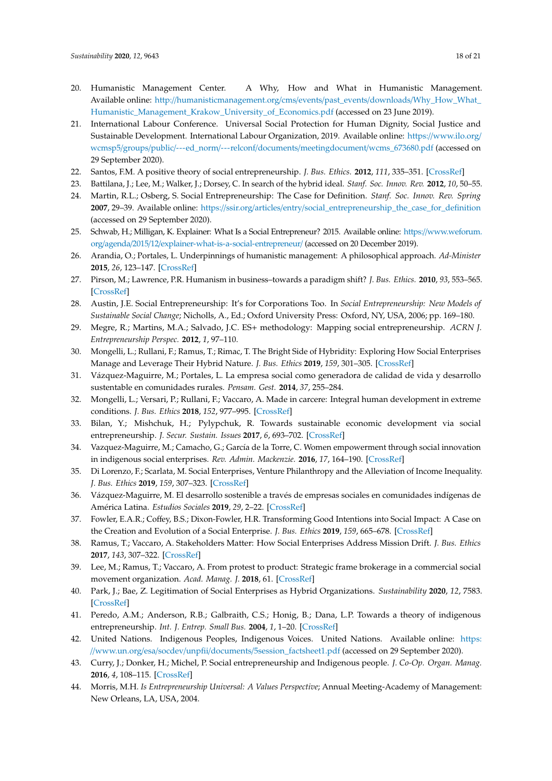- <span id="page-17-0"></span>20. Humanistic Management Center. A Why, How and What in Humanistic Management. Available online: http://[humanisticmanagement.org](http://humanisticmanagement.org/cms/events/past_events/downloads/Why_How_What_Humanistic_Management_Krakow_University_of_Economics.pdf)/cms/events/past\_events/downloads/Why\_How\_What\_ [Humanistic\\_Management\\_Krakow\\_University\\_of\\_Economics.pdf](http://humanisticmanagement.org/cms/events/past_events/downloads/Why_How_What_Humanistic_Management_Krakow_University_of_Economics.pdf) (accessed on 23 June 2019).
- <span id="page-17-1"></span>21. International Labour Conference. Universal Social Protection for Human Dignity, Social Justice and Sustainable Development. International Labour Organization, 2019. Available online: https://[www.ilo.org](https://www.ilo.org/wcmsp5/groups/public/---ed_norm/---relconf/documents/meetingdocument/wcms_673680.pdf)/ wcmsp5/groups/public/---ed\_norm/---relconf/documents/[meetingdocument](https://www.ilo.org/wcmsp5/groups/public/---ed_norm/---relconf/documents/meetingdocument/wcms_673680.pdf)/wcms\_673680.pdf (accessed on 29 September 2020).
- <span id="page-17-3"></span><span id="page-17-2"></span>22. Santos, F.M. A positive theory of social entrepreneurship. *J. Bus. Ethics.* **2012**, *111*, 335–351. [\[CrossRef\]](http://dx.doi.org/10.1007/s10551-012-1413-4)
- 23. Battilana, J.; Lee, M.; Walker, J.; Dorsey, C. In search of the hybrid ideal. *Stanf. Soc. Innov. Rev.* **2012**, *10*, 50–55.
- <span id="page-17-4"></span>24. Martin, R.L.; Osberg, S. Social Entrepreneurship: The Case for Definition. *Stanf. Soc. Innov. Rev. Spring* **2007**, 29–39. Available online: https://ssir.org/articles/entry/[social\\_entrepreneurship\\_the\\_case\\_for\\_definition](https://ssir.org/articles/entry/social_entrepreneurship_the_case_for_definition) (accessed on 29 September 2020).
- <span id="page-17-5"></span>25. Schwab, H.; Milligan, K. Explainer: What Is a Social Entrepreneur? 2015. Available online: https://[www.weforum.](https://www.weforum.org/agenda/2015/12/explainer-what-is-a-social-entrepreneur/) org/agenda/2015/12/[explainer-what-is-a-social-entrepreneur](https://www.weforum.org/agenda/2015/12/explainer-what-is-a-social-entrepreneur/)/ (accessed on 20 December 2019).
- <span id="page-17-6"></span>26. Arandia, O.; Portales, L. Underpinnings of humanistic management: A philosophical approach. *Ad-Minister* **2015**, *26*, 123–147. [\[CrossRef\]](http://dx.doi.org/10.17230/ad-minister.26.6)
- <span id="page-17-7"></span>27. Pirson, M.; Lawrence, P.R. Humanism in business–towards a paradigm shift? *J. Bus. Ethics.* **2010**, *93*, 553–565. [\[CrossRef\]](http://dx.doi.org/10.1007/s10551-009-0239-1)
- <span id="page-17-8"></span>28. Austin, J.E. Social Entrepreneurship: It's for Corporations Too. In *Social Entrepreneurship: New Models of Sustainable Social Change*; Nicholls, A., Ed.; Oxford University Press: Oxford, NY, USA, 2006; pp. 169–180.
- <span id="page-17-9"></span>29. Megre, R.; Martins, M.A.; Salvado, J.C. ES+ methodology: Mapping social entrepreneurship. *ACRN J. Entrepreneurship Perspec.* **2012**, *1*, 97–110.
- <span id="page-17-10"></span>30. Mongelli, L.; Rullani, F.; Ramus, T.; Rimac, T. The Bright Side of Hybridity: Exploring How Social Enterprises Manage and Leverage Their Hybrid Nature. *J. Bus. Ethics* **2019**, *159*, 301–305. [\[CrossRef\]](http://dx.doi.org/10.1007/s10551-018-4050-8)
- <span id="page-17-11"></span>31. Vázquez-Maguirre, M.; Portales, L. La empresa social como generadora de calidad de vida y desarrollo sustentable en comunidades rurales. *Pensam. Gest.* **2014**, *37*, 255–284.
- <span id="page-17-12"></span>32. Mongelli, L.; Versari, P.; Rullani, F.; Vaccaro, A. Made in carcere: Integral human development in extreme conditions. *J. Bus. Ethics* **2018**, *152*, 977–995. [\[CrossRef\]](http://dx.doi.org/10.1007/s10551-018-3821-6)
- <span id="page-17-13"></span>33. Bilan, Y.; Mishchuk, H.; Pylypchuk, R. Towards sustainable economic development via social entrepreneurship. *J. Secur. Sustain. Issues* **2017**, *6*, 693–702. [\[CrossRef\]](http://dx.doi.org/10.9770/jssi.2017.6.4(13))
- <span id="page-17-14"></span>34. Vazquez-Maguirre, M.; Camacho, G.; García de la Torre, C. Women empowerment through social innovation in indigenous social enterprises. *Rev. Admin. Mackenzie.* **2016**, *17*, 164–190. [\[CrossRef\]](http://dx.doi.org/10.1590/1678-69712016/administracao.v17n6p164-190)
- <span id="page-17-15"></span>35. Di Lorenzo, F.; Scarlata, M. Social Enterprises, Venture Philanthropy and the Alleviation of Income Inequality. *J. Bus. Ethics* **2019**, *159*, 307–323. [\[CrossRef\]](http://dx.doi.org/10.1007/s10551-018-4049-1)
- <span id="page-17-16"></span>36. Vázquez-Maguirre, M. El desarrollo sostenible a través de empresas sociales en comunidades indígenas de América Latina. *Estudios Sociales* **2019**, *29*, 2–22. [\[CrossRef\]](http://dx.doi.org/10.24836/es.v29i53.617)
- <span id="page-17-17"></span>37. Fowler, E.A.R.; Coffey, B.S.; Dixon-Fowler, H.R. Transforming Good Intentions into Social Impact: A Case on the Creation and Evolution of a Social Enterprise. *J. Bus. Ethics* **2019**, *159*, 665–678. [\[CrossRef\]](http://dx.doi.org/10.1007/s10551-017-3754-5)
- <span id="page-17-18"></span>38. Ramus, T.; Vaccaro, A. Stakeholders Matter: How Social Enterprises Address Mission Drift. *J. Bus. Ethics* **2017**, *143*, 307–322. [\[CrossRef\]](http://dx.doi.org/10.1007/s10551-014-2353-y)
- <span id="page-17-19"></span>39. Lee, M.; Ramus, T.; Vaccaro, A. From protest to product: Strategic frame brokerage in a commercial social movement organization. *Acad. Manag. J.* **2018**, 61. [\[CrossRef\]](http://dx.doi.org/10.5465/amj.2016.0223)
- <span id="page-17-20"></span>40. Park, J.; Bae, Z. Legitimation of Social Enterprises as Hybrid Organizations. *Sustainability* **2020**, *12*, 7583. [\[CrossRef\]](http://dx.doi.org/10.3390/su12187583)
- <span id="page-17-21"></span>41. Peredo, A.M.; Anderson, R.B.; Galbraith, C.S.; Honig, B.; Dana, L.P. Towards a theory of indigenous entrepreneurship. *Int. J. Entrep. Small Bus.* **2004**, *1*, 1–20. [\[CrossRef\]](http://dx.doi.org/10.1504/IJESB.2004.005374)
- <span id="page-17-22"></span>42. United Nations. Indigenous Peoples, Indigenous Voices. United Nations. Available online: [https:](https://www.un.org/esa/socdev/unpfii/documents/5session_factsheet1.pdf) //www.un.org/esa/socdev/unpfii/documents/[5session\\_factsheet1.pdf](https://www.un.org/esa/socdev/unpfii/documents/5session_factsheet1.pdf) (accessed on 29 September 2020).
- <span id="page-17-23"></span>43. Curry, J.; Donker, H.; Michel, P. Social entrepreneurship and Indigenous people. *J. Co-Op. Organ. Manag.* **2016**, *4*, 108–115. [\[CrossRef\]](http://dx.doi.org/10.1016/j.jcom.2016.09.002)
- <span id="page-17-24"></span>44. Morris, M.H. *Is Entrepreneurship Universal: A Values Perspective*; Annual Meeting-Academy of Management: New Orleans, LA, USA, 2004.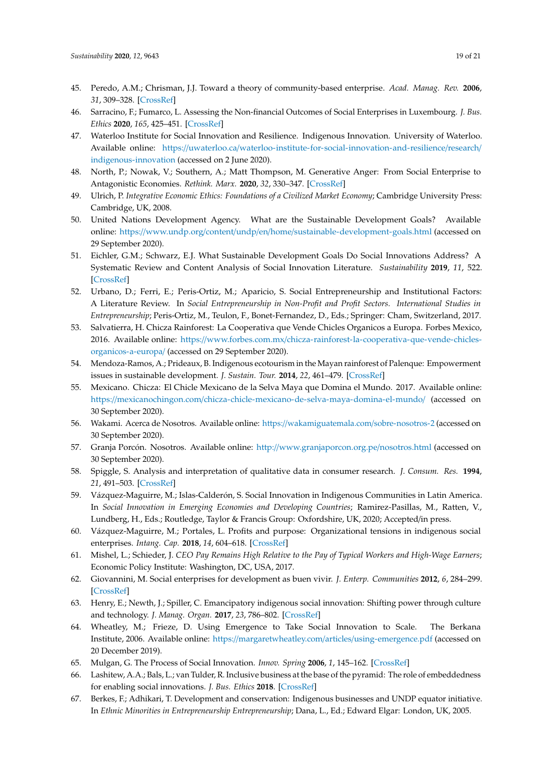- <span id="page-18-0"></span>45. Peredo, A.M.; Chrisman, J.J. Toward a theory of community-based enterprise. *Acad. Manag. Rev.* **2006**, *31*, 309–328. [\[CrossRef\]](http://dx.doi.org/10.5465/amr.2006.20208683)
- <span id="page-18-1"></span>46. Sarracino, F.; Fumarco, L. Assessing the Non-financial Outcomes of Social Enterprises in Luxembourg. *J. Bus. Ethics* **2020**, *165*, 425–451. [\[CrossRef\]](http://dx.doi.org/10.1007/s10551-018-4086-9)
- <span id="page-18-2"></span>47. Waterloo Institute for Social Innovation and Resilience. Indigenous Innovation. University of Waterloo. Available online: https://uwaterloo.ca/[waterloo-institute-for-social-innovation-and-resilience](https://uwaterloo.ca/waterloo-institute-for-social-innovation-and-resilience/research/indigenous-innovation)/research/ [indigenous-innovation](https://uwaterloo.ca/waterloo-institute-for-social-innovation-and-resilience/research/indigenous-innovation) (accessed on 2 June 2020).
- <span id="page-18-3"></span>48. North, P.; Nowak, V.; Southern, A.; Matt Thompson, M. Generative Anger: From Social Enterprise to Antagonistic Economies. *Rethink. Marx.* **2020**, *32*, 330–347. [\[CrossRef\]](http://dx.doi.org/10.1080/08935696.2020.1780669)
- <span id="page-18-4"></span>49. Ulrich, P. *Integrative Economic Ethics: Foundations of a Civilized Market Economy*; Cambridge University Press: Cambridge, UK, 2008.
- <span id="page-18-5"></span>50. United Nations Development Agency. What are the Sustainable Development Goals? Available online: https://www.undp.org/content/undp/en/home/[sustainable-development-goals.html](https://www.undp.org/content/undp/en/home/sustainable-development-goals.html) (accessed on 29 September 2020).
- <span id="page-18-6"></span>51. Eichler, G.M.; Schwarz, E.J. What Sustainable Development Goals Do Social Innovations Address? A Systematic Review and Content Analysis of Social Innovation Literature. *Sustainability* **2019**, *11*, 522. [\[CrossRef\]](http://dx.doi.org/10.3390/su11020522)
- <span id="page-18-7"></span>52. Urbano, D.; Ferri, E.; Peris-Ortiz, M.; Aparicio, S. Social Entrepreneurship and Institutional Factors: A Literature Review. In *Social Entrepreneurship in Non-Profit and Profit Sectors. International Studies in Entrepreneurship*; Peris-Ortiz, M., Teulon, F., Bonet-Fernandez, D., Eds.; Springer: Cham, Switzerland, 2017.
- <span id="page-18-8"></span>53. Salvatierra, H. Chicza Rainforest: La Cooperativa que Vende Chicles Organicos a Europa. Forbes Mexico, 2016. Available online: https://www.forbes.com.mx/[chicza-rainforest-la-cooperativa-que-vende-chicles](https://www.forbes.com.mx/chicza-rainforest-la-cooperativa-que-vende-chicles-organicos-a-europa/)[organicos-a-europa](https://www.forbes.com.mx/chicza-rainforest-la-cooperativa-que-vende-chicles-organicos-a-europa/)/ (accessed on 29 September 2020).
- <span id="page-18-9"></span>54. Mendoza-Ramos, A.; Prideaux, B. Indigenous ecotourism in the Mayan rainforest of Palenque: Empowerment issues in sustainable development. *J. Sustain. Tour.* **2014**, *22*, 461–479. [\[CrossRef\]](http://dx.doi.org/10.1080/09669582.2013.828730)
- <span id="page-18-10"></span>55. Mexicano. Chicza: El Chicle Mexicano de la Selva Maya que Domina el Mundo. 2017. Available online: https://mexicanochingon.com/[chicza-chicle-mexicano-de-selva-maya-domina-el-mundo](https://mexicanochingon.com/chicza-chicle-mexicano-de-selva-maya-domina-el-mundo/)/ (accessed on 30 September 2020).
- 56. Wakami. Acerca de Nosotros. Available online: https://[wakamiguatemala.com](https://wakamiguatemala.com/sobre-nosotros-2)/sobre-nosotros-2 (accessed on 30 September 2020).
- <span id="page-18-11"></span>57. Granja Porcón. Nosotros. Available online: http://[www.granjaporcon.org.pe](http://www.granjaporcon.org.pe/nosotros.html)/nosotros.html (accessed on 30 September 2020).
- <span id="page-18-12"></span>58. Spiggle, S. Analysis and interpretation of qualitative data in consumer research. *J. Consum. Res.* **1994**, *21*, 491–503. [\[CrossRef\]](http://dx.doi.org/10.1086/209413)
- <span id="page-18-13"></span>59. Vázquez-Maguirre, M.; Islas-Calderón, S. Social Innovation in Indigenous Communities in Latin America. In *Social Innovation in Emerging Economies and Developing Countries*; Ramirez-Pasillas, M., Ratten, V., Lundberg, H., Eds.; Routledge, Taylor & Francis Group: Oxfordshire, UK, 2020; Accepted/in press.
- <span id="page-18-14"></span>60. Vázquez-Maguirre, M.; Portales, L. Profits and purpose: Organizational tensions in indigenous social enterprises. *Intang. Cap.* **2018**, *14*, 604–618. [\[CrossRef\]](http://dx.doi.org/10.3926/ic.1208)
- <span id="page-18-15"></span>61. Mishel, L.; Schieder, J. *CEO Pay Remains High Relative to the Pay of Typical Workers and High-Wage Earners*; Economic Policy Institute: Washington, DC, USA, 2017.
- <span id="page-18-16"></span>62. Giovannini, M. Social enterprises for development as buen vivir. *J. Enterp. Communities* **2012**, *6*, 284–299. [\[CrossRef\]](http://dx.doi.org/10.1108/17506201211258432)
- <span id="page-18-17"></span>63. Henry, E.; Newth, J.; Spiller, C. Emancipatory indigenous social innovation: Shifting power through culture and technology. *J. Manag. Organ.* **2017**, *23*, 786–802. [\[CrossRef\]](http://dx.doi.org/10.1017/jmo.2017.64)
- <span id="page-18-18"></span>64. Wheatley, M.; Frieze, D. Using Emergence to Take Social Innovation to Scale. The Berkana Institute, 2006. Available online: https://[margaretwheatley.com](https://margaretwheatley.com/articles/using-emergence.pdf)/articles/using-emergence.pdf (accessed on 20 December 2019).
- <span id="page-18-19"></span>65. Mulgan, G. The Process of Social Innovation. *Innov. Spring* **2006**, *1*, 145–162. [\[CrossRef\]](http://dx.doi.org/10.1162/itgg.2006.1.2.145)
- <span id="page-18-20"></span>66. Lashitew, A.A.; Bals, L.; van Tulder, R. Inclusive business at the base of the pyramid: The role of embeddedness for enabling social innovations. *J. Bus. Ethics* **2018**. [\[CrossRef\]](http://dx.doi.org/10.1007/s10551-018-3995-y)
- <span id="page-18-21"></span>67. Berkes, F.; Adhikari, T. Development and conservation: Indigenous businesses and UNDP equator initiative. In *Ethnic Minorities in Entrepreneurship Entrepreneurship*; Dana, L., Ed.; Edward Elgar: London, UK, 2005.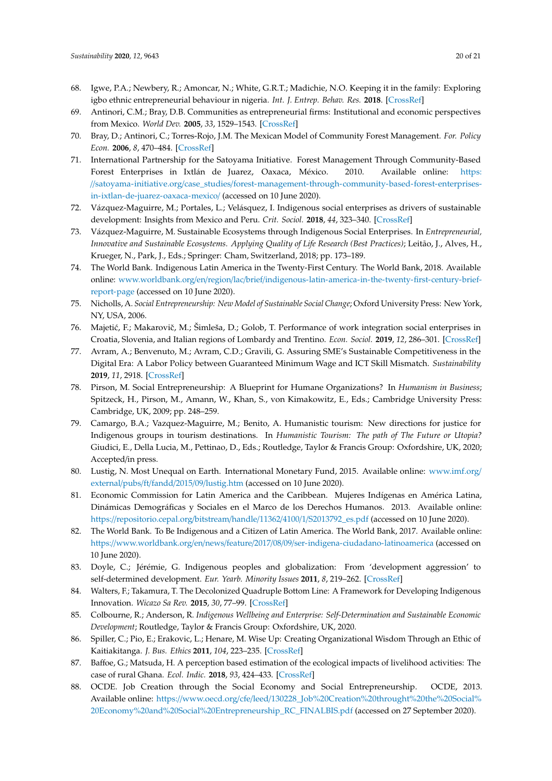- <span id="page-19-0"></span>68. Igwe, P.A.; Newbery, R.; Amoncar, N.; White, G.R.T.; Madichie, N.O. Keeping it in the family: Exploring igbo ethnic entrepreneurial behaviour in nigeria. *Int. J. Entrep. Behav. Res.* **2018**. [\[CrossRef\]](http://dx.doi.org/10.1108/IJEBR-12-2017-0492)
- <span id="page-19-1"></span>69. Antinori, C.M.; Bray, D.B. Communities as entrepreneurial firms: Institutional and economic perspectives from Mexico. *World Dev.* **2005**, *33*, 1529–1543. [\[CrossRef\]](http://dx.doi.org/10.1016/j.worlddev.2004.10.011)
- <span id="page-19-2"></span>70. Bray, D.; Antinori, C.; Torres-Rojo, J.M. The Mexican Model of Community Forest Management. *For. Policy Econ.* **2006**, *8*, 470–484. [\[CrossRef\]](http://dx.doi.org/10.1016/j.forpol.2005.08.002)
- <span id="page-19-3"></span>71. International Partnership for the Satoyama Initiative. Forest Management Through Community-Based Forest Enterprises in Ixtlán de Juarez, Oaxaca, México. 2010. Available online: [https:](https://satoyama-initiative.org/case_studies/forest-management-through-community-based-forest-enterprises-in-ixtlan-de-juarez-oaxaca-mexico/) //satoyama-initiative.org/case\_studies/[forest-management-through-community-based-forest-enterprises](https://satoyama-initiative.org/case_studies/forest-management-through-community-based-forest-enterprises-in-ixtlan-de-juarez-oaxaca-mexico/)[in-ixtlan-de-juarez-oaxaca-mexico](https://satoyama-initiative.org/case_studies/forest-management-through-community-based-forest-enterprises-in-ixtlan-de-juarez-oaxaca-mexico/)/ (accessed on 10 June 2020).
- <span id="page-19-4"></span>72. Vázquez-Maguirre, M.; Portales, L.; Velásquez, I. Indigenous social enterprises as drivers of sustainable development: Insights from Mexico and Peru. *Crit. Sociol.* **2018**, *44*, 323–340. [\[CrossRef\]](http://dx.doi.org/10.1177/0896920516688757)
- <span id="page-19-5"></span>73. Vázquez-Maguirre, M. Sustainable Ecosystems through Indigenous Social Enterprises. In *Entrepreneurial, Innovative and Sustainable Ecosystems. Applying Quality of Life Research (Best Practices)*; Leitão, J., Alves, H., Krueger, N., Park, J., Eds.; Springer: Cham, Switzerland, 2018; pp. 173–189.
- <span id="page-19-6"></span>74. The World Bank. Indigenous Latin America in the Twenty-First Century. The World Bank, 2018. Available online: www.worldbank.org/en/region/lac/brief/[indigenous-latin-america-in-the-twenty-first-century-brief](www.worldbank.org/en/region/lac/brief/indigenous-latin-america-in-the-twenty-first-century-brief-report-page)[report-page](www.worldbank.org/en/region/lac/brief/indigenous-latin-america-in-the-twenty-first-century-brief-report-page) (accessed on 10 June 2020).
- <span id="page-19-7"></span>75. Nicholls, A. *Social Entrepreneurship: New Model of Sustainable Social Change*; Oxford University Press: New York, NY, USA, 2006.
- <span id="page-19-8"></span>76. Majetić, F.; Makarovič, M.; Šimleša, D.; Golob, T. Performance of work integration social enterprises in Croatia, Slovenia, and Italian regions of Lombardy and Trentino. *Econ. Sociol.* **2019**, *12*, 286–301. [\[CrossRef\]](http://dx.doi.org/10.14254/2071-789X.2019/12-1/17)
- <span id="page-19-9"></span>77. Avram, A.; Benvenuto, M.; Avram, C.D.; Gravili, G. Assuring SME's Sustainable Competitiveness in the Digital Era: A Labor Policy between Guaranteed Minimum Wage and ICT Skill Mismatch. *Sustainability* **2019**, *11*, 2918. [\[CrossRef\]](http://dx.doi.org/10.3390/su11102918)
- <span id="page-19-10"></span>78. Pirson, M. Social Entrepreneurship: A Blueprint for Humane Organizations? In *Humanism in Business*; Spitzeck, H., Pirson, M., Amann, W., Khan, S., von Kimakowitz, E., Eds.; Cambridge University Press: Cambridge, UK, 2009; pp. 248–259.
- <span id="page-19-11"></span>79. Camargo, B.A.; Vazquez-Maguirre, M.; Benito, A. Humanistic tourism: New directions for justice for Indigenous groups in tourism destinations. In *Humanistic Tourism: The path of The Future or Utopia?* Giudici, E., Della Lucia, M., Pettinao, D., Eds.; Routledge, Taylor & Francis Group: Oxfordshire, UK, 2020; Accepted/in press.
- <span id="page-19-12"></span>80. Lustig, N. Most Unequal on Earth. International Monetary Fund, 2015. Available online: [www.imf.org](www.imf.org/external/pubs/ft/fandd/2015/09/lustig.htm)/ external/pubs/ft/fandd/2015/09/[lustig.htm](www.imf.org/external/pubs/ft/fandd/2015/09/lustig.htm) (accessed on 10 June 2020).
- <span id="page-19-13"></span>81. Economic Commission for Latin America and the Caribbean. Mujeres Indígenas en América Latina, Dinámicas Demográficas y Sociales en el Marco de los Derechos Humanos. 2013. Available online: https://[repositorio.cepal.org](https://repositorio.cepal.org/bitstream/handle/11362/4100/1/S2013792_es.pdf)/bitstream/handle/11362/4100/1/S2013792\_es.pdf (accessed on 10 June 2020).
- <span id="page-19-14"></span>82. The World Bank. To Be Indigenous and a Citizen of Latin America. The World Bank, 2017. Available online: https://www.worldbank.org/en/news/feature/2017/08/09/[ser-indigena-ciudadano-latinoamerica](https://www.worldbank.org/en/news/feature/2017/08/09/ser-indigena-ciudadano-latinoamerica) (accessed on 10 June 2020).
- <span id="page-19-15"></span>83. Doyle, C.; Jérémie, G. Indigenous peoples and globalization: From 'development aggression' to self-determined development. *Eur. Yearb. Minority Issues* **2011**, *8*, 219–262. [\[CrossRef\]](http://dx.doi.org/10.1163/22116117-90001671)
- <span id="page-19-16"></span>84. Walters, F.; Takamura, T. The Decolonized Quadruple Bottom Line: A Framework for Developing Indigenous Innovation. *Wicazo Sa Rev.* **2015**, *30*, 77–99. [\[CrossRef\]](http://dx.doi.org/10.5749/wicazosareview.30.2.0077)
- <span id="page-19-17"></span>85. Colbourne, R.; Anderson, R. *Indigenous Wellbeing and Enterprise: Self-Determination and Sustainable Economic Development*; Routledge, Taylor & Francis Group: Oxfordshire, UK, 2020.
- <span id="page-19-18"></span>86. Spiller, C.; Pio, E.; Erakovic, L.; Henare, M. Wise Up: Creating Organizational Wisdom Through an Ethic of Kaitiakitanga. *J. Bus. Ethics* **2011**, *104*, 223–235. [\[CrossRef\]](http://dx.doi.org/10.1007/s10551-011-0905-y)
- <span id="page-19-19"></span>87. Baffoe, G.; Matsuda, H. A perception based estimation of the ecological impacts of livelihood activities: The case of rural Ghana. *Ecol. Indic.* **2018**, *93*, 424–433. [\[CrossRef\]](http://dx.doi.org/10.1016/j.ecolind.2018.04.074)
- <span id="page-19-20"></span>88. OCDE. Job Creation through the Social Economy and Social Entrepreneurship. OCDE, 2013. Available online: https://www.oecd.org/cfe/leed/[130228\\_Job%20Creation%20throught%20the%20Social%](https://www.oecd.org/cfe/leed/130228_Job%20Creation%20throught%20the%20Social%20Economy%20and%20Social%20Entrepreneurship_RC_FINALBIS.pdf) [20Economy%20and%20Social%20Entrepreneurship\\_RC\\_FINALBIS.pdf](https://www.oecd.org/cfe/leed/130228_Job%20Creation%20throught%20the%20Social%20Economy%20and%20Social%20Entrepreneurship_RC_FINALBIS.pdf) (accessed on 27 September 2020).